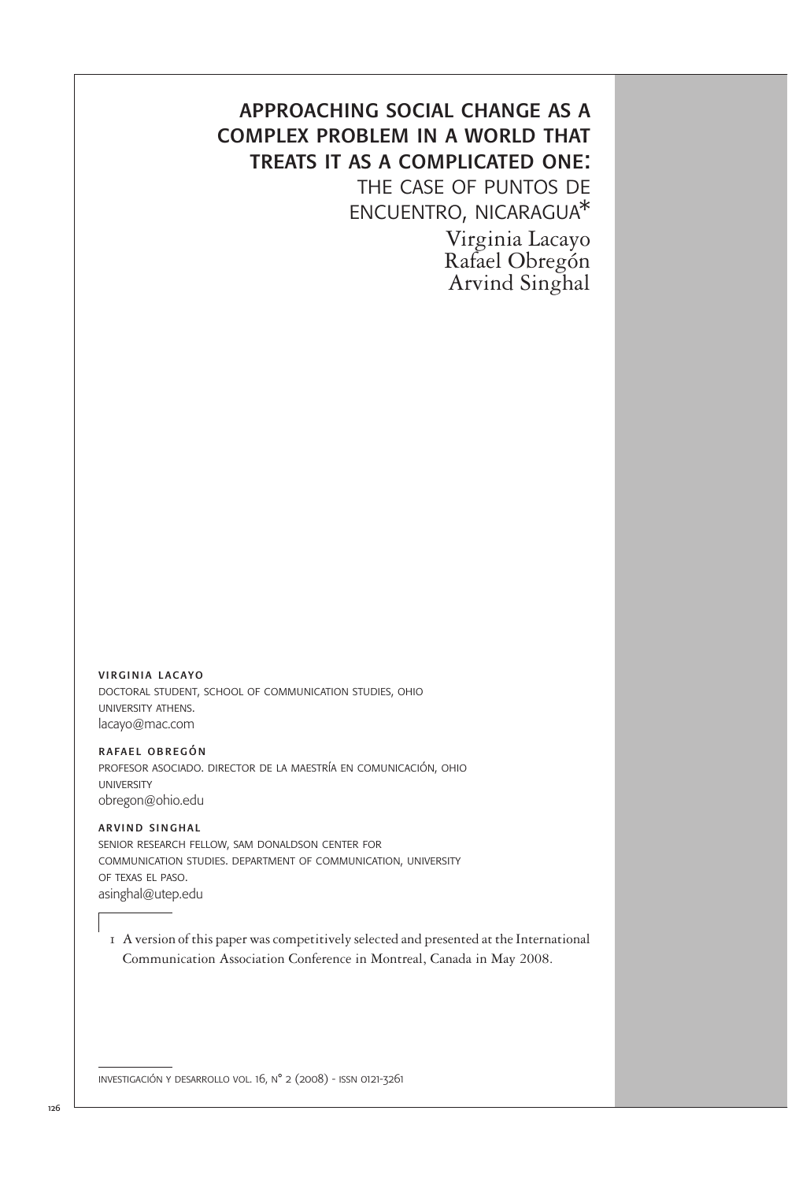## approaching social change as a complex problem in a world that treats it as a complicated one: the case of puntos de

encuentro, nicaragua\*

Virginia Lacayo Rafael Obregón Arvind Singhal

virginia lacayo doctoral student, school of communication studies, ohio university athens. lacayo@mac.com

rafael obregón profesor asociado. director de la maestría en comunicación, ohio university obregon@ohio.edu

arvind singhal senior research fellow, sam donaldson center for communication studies. department of communication, university of texas el paso. asinghal@utep.edu

1 A version of this paper was competitively selected and presented at the International Communication Association Conference in Montreal, Canada in May 2008.

investigación y desarrollo vol. 16, n° 2 (2008) - issn 0121-3261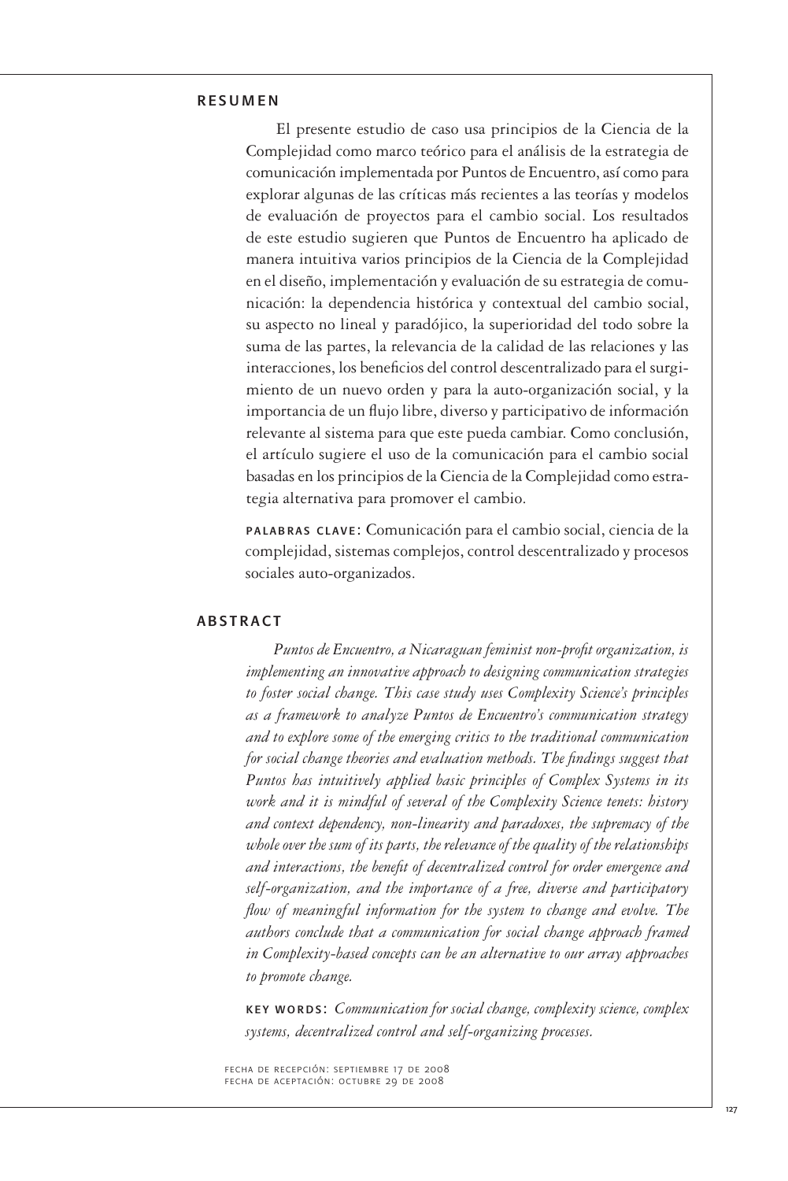### resumen

 El presente estudio de caso usa principios de la Ciencia de la Complejidad como marco teórico para el análisis de la estrategia de comunicación implementada por Puntos de Encuentro, así como para explorar algunas de las críticas más recientes a las teorías y modelos de evaluación de proyectos para el cambio social. Los resultados de este estudio sugieren que Puntos de Encuentro ha aplicado de manera intuitiva varios principios de la Ciencia de la Complejidad en el diseño, implementación y evaluación de su estrategia de comunicación: la dependencia histórica y contextual del cambio social, su aspecto no lineal y paradójico, la superioridad del todo sobre la suma de las partes, la relevancia de la calidad de las relaciones y las interacciones, los beneficios del control descentralizado para el surgimiento de un nuevo orden y para la auto-organización social, y la importancia de un flujo libre, diverso y participativo de información relevante al sistema para que este pueda cambiar. Como conclusión, el artículo sugiere el uso de la comunicación para el cambio social basadas en los principios de la Ciencia de la Complejidad como estrategia alternativa para promover el cambio.

palabras clave: Comunicación para el cambio social, ciencia de la complejidad, sistemas complejos, control descentralizado y procesos sociales auto-organizados.

#### **ABSTRACT**

 *Puntos de Encuentro, a Nicaraguan feminist non-profit organization, is implementing an innovative approach to designing communication strategies to foster social change. This case study uses Complexity Science's principles as a framework to analyze Puntos de Encuentro's communication strategy and to explore some of the emerging critics to the traditional communication for social change theories and evaluation methods. The findings suggest that Puntos has intuitively applied basic principles of Complex Systems in its work and it is mindful of several of the Complexity Science tenets: history and context dependency, non-linearity and paradoxes, the supremacy of the whole over the sum of its parts, the relevance of the quality of the relationships and interactions, the benefit of decentralized control for order emergence and self-organization, and the importance of a free, diverse and participatory flow of meaningful information for the system to change and evolve. The authors conclude that a communication for social change approach framed in Complexity-based concepts can be an alternative to our array approaches to promote change.*

key words: *Communication for social change, complexity science, complex systems, decentralized control and self-organizing processes.*

fecha de recepción: septiembre 17 de 2008 fecha de aceptación: octubre 29 de 2008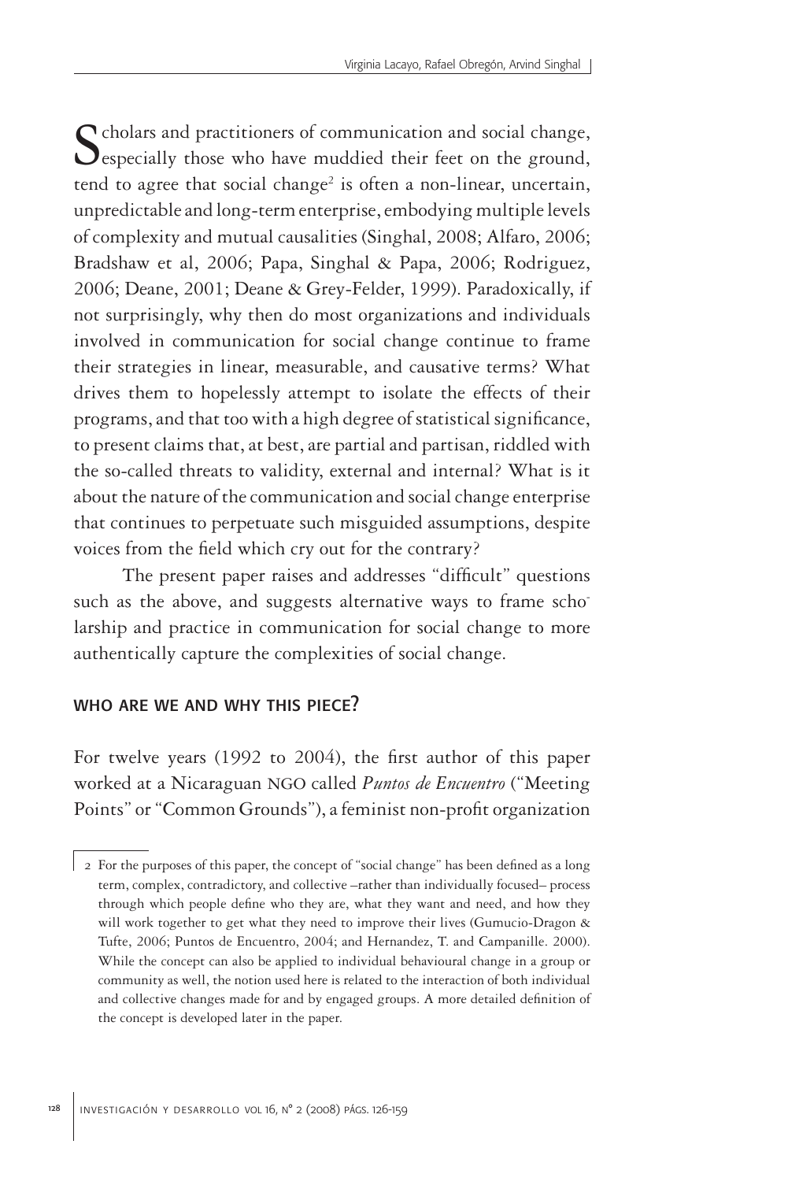Scholars and practitioners of communication and social change, especially those who have muddied their feet on the ground, tend to agree that social change<sup>2</sup> is often a non-linear, uncertain, unpredictable and long-term enterprise, embodying multiple levels of complexity and mutual causalities (Singhal, 2008; Alfaro, 2006; Bradshaw et al, 2006; Papa, Singhal & Papa, 2006; Rodriguez, 2006; Deane, 2001; Deane & Grey-Felder, 1999). Paradoxically, if not surprisingly, why then do most organizations and individuals involved in communication for social change continue to frame their strategies in linear, measurable, and causative terms? What drives them to hopelessly attempt to isolate the effects of their programs, and that too with a high degree of statistical significance, to present claims that, at best, are partial and partisan, riddled with the so-called threats to validity, external and internal? What is it about the nature of the communication and social change enterprise that continues to perpetuate such misguided assumptions, despite voices from the field which cry out for the contrary?

The present paper raises and addresses "difficult" questions such as the above, and suggests alternative ways to frame scholarship and practice in communication for social change to more authentically capture the complexities of social change.

### who are we and why this piece?

For twelve years (1992 to 2004), the first author of this paper worked at a Nicaraguan NGO called *Puntos de Encuentro* ("Meeting Points" or "Common Grounds"), a feminist non-profit organization

<sup>2</sup> For the purposes of this paper, the concept of "social change" has been defined as a long term, complex, contradictory, and collective –rather than individually focused– process through which people define who they are, what they want and need, and how they will work together to get what they need to improve their lives (Gumucio-Dragon & Tufte, 2006; Puntos de Encuentro, 2004; and Hernandez, T. and Campanille. 2000). While the concept can also be applied to individual behavioural change in a group or community as well, the notion used here is related to the interaction of both individual and collective changes made for and by engaged groups. A more detailed definition of the concept is developed later in the paper.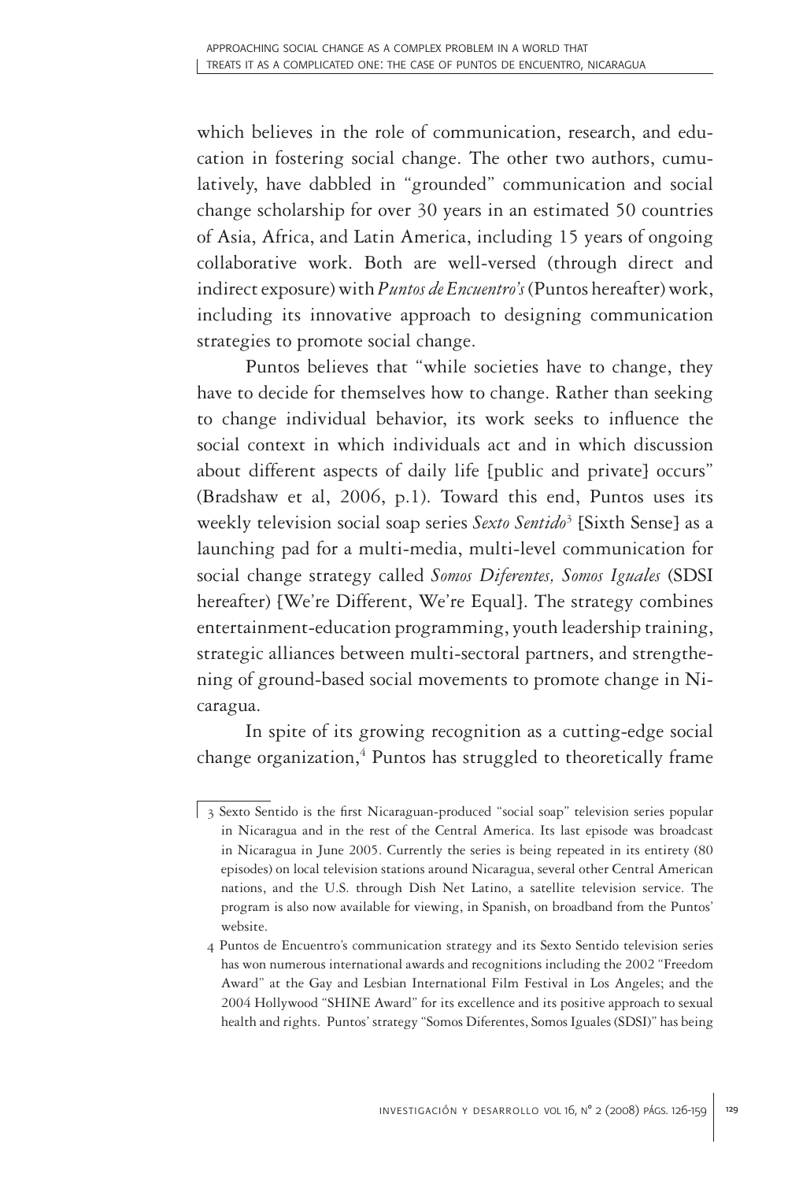which believes in the role of communication, research, and education in fostering social change. The other two authors, cumulatively, have dabbled in "grounded" communication and social change scholarship for over 30 years in an estimated 50 countries of Asia, Africa, and Latin America, including 15 years of ongoing collaborative work. Both are well-versed (through direct and indirect exposure) with *Puntos de Encuentro's* (Puntos hereafter) work, including its innovative approach to designing communication strategies to promote social change.

Puntos believes that "while societies have to change, they have to decide for themselves how to change. Rather than seeking to change individual behavior, its work seeks to influence the social context in which individuals act and in which discussion about different aspects of daily life [public and private] occurs" (Bradshaw et al, 2006, p.1). Toward this end, Puntos uses its weekly television social soap series *Sexto Sentido*<sup>3</sup> [Sixth Sense] as a launching pad for a multi-media, multi-level communication for social change strategy called *Somos Diferentes, Somos Iguales* (SDSI hereafter) [We're Different, We're Equal]. The strategy combines entertainment-education programming, youth leadership training, strategic alliances between multi-sectoral partners, and strengthening of ground-based social movements to promote change in Nicaragua.

In spite of its growing recognition as a cutting-edge social change organization,<sup>4</sup> Puntos has struggled to theoretically frame

<sup>3</sup> Sexto Sentido is the first Nicaraguan-produced "social soap" television series popular in Nicaragua and in the rest of the Central America. Its last episode was broadcast in Nicaragua in June 2005. Currently the series is being repeated in its entirety (80 episodes) on local television stations around Nicaragua, several other Central American nations, and the U.S. through Dish Net Latino, a satellite television service. The program is also now available for viewing, in Spanish, on broadband from the Puntos' website.

<sup>4</sup> Puntos de Encuentro's communication strategy and its Sexto Sentido television series has won numerous international awards and recognitions including the 2002 "Freedom Award" at the Gay and Lesbian International Film Festival in Los Angeles; and the 2004 Hollywood "SHINE Award" for its excellence and its positive approach to sexual health and rights. Puntos' strategy "Somos Diferentes, Somos Iguales (SDSI)" has being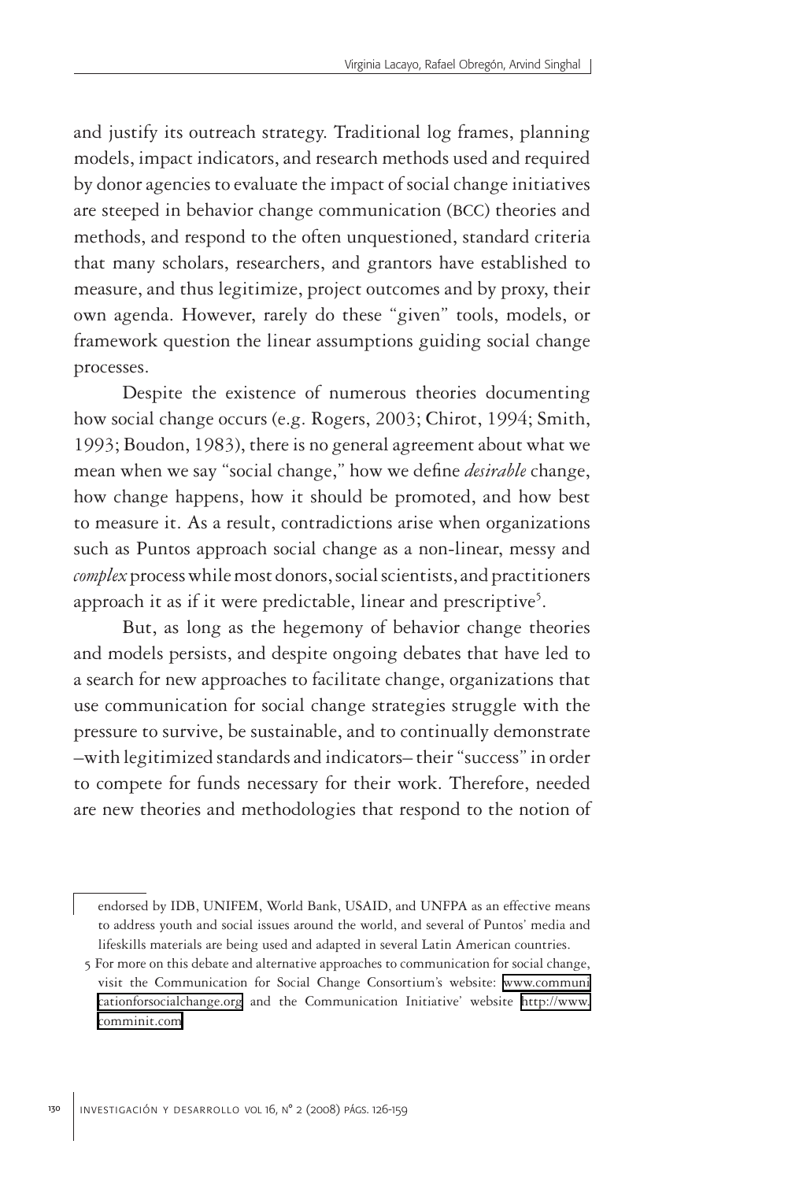and justify its outreach strategy. Traditional log frames, planning models, impact indicators, and research methods used and required by donor agencies to evaluate the impact of social change initiatives are steeped in behavior change communication (BCC) theories and methods, and respond to the often unquestioned, standard criteria that many scholars, researchers, and grantors have established to measure, and thus legitimize, project outcomes and by proxy, their own agenda. However, rarely do these "given" tools, models, or framework question the linear assumptions guiding social change processes.

Despite the existence of numerous theories documenting how social change occurs (e.g. Rogers, 2003; Chirot, 1994; Smith, 1993; Boudon, 1983), there is no general agreement about what we mean when we say "social change," how we define *desirable* change, how change happens, how it should be promoted, and how best to measure it. As a result, contradictions arise when organizations such as Puntos approach social change as a non-linear, messy and *complex* process while most donors, social scientists, and practitioners approach it as if it were predictable, linear and prescriptive<sup>5</sup>.

But, as long as the hegemony of behavior change theories and models persists, and despite ongoing debates that have led to a search for new approaches to facilitate change, organizations that use communication for social change strategies struggle with the pressure to survive, be sustainable, and to continually demonstrate –with legitimized standards and indicators– their "success" in order to compete for funds necessary for their work. Therefore, needed are new theories and methodologies that respond to the notion of

endorsed by IDB, UNIFEM, World Bank, USAID, and UNFPA as an effective means to address youth and social issues around the world, and several of Puntos' media and lifeskills materials are being used and adapted in several Latin American countries.

<sup>5</sup> For more on this debate and alternative approaches to communication for social change, visit the Communication for Social Change Consortium's website: [www.communi](http://www.communicationforsocialchange.org) [cationforsocialchange.org](http://www.communicationforsocialchange.org) and the Communication Initiative' website [http://www.](http://www.comminit.com) [comminit.com](http://www.comminit.com)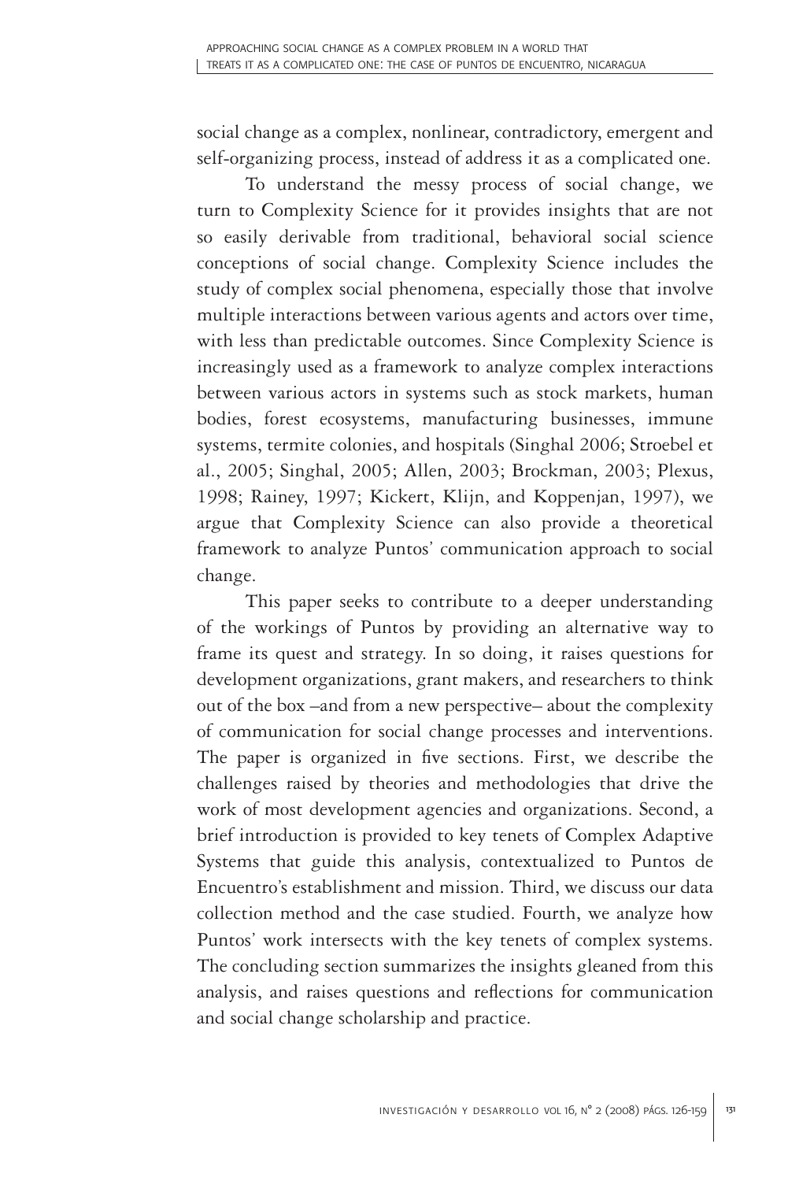social change as a complex, nonlinear, contradictory, emergent and self-organizing process, instead of address it as a complicated one.

To understand the messy process of social change, we turn to Complexity Science for it provides insights that are not so easily derivable from traditional, behavioral social science conceptions of social change. Complexity Science includes the study of complex social phenomena, especially those that involve multiple interactions between various agents and actors over time, with less than predictable outcomes. Since Complexity Science is increasingly used as a framework to analyze complex interactions between various actors in systems such as stock markets, human bodies, forest ecosystems, manufacturing businesses, immune systems, termite colonies, and hospitals (Singhal 2006; Stroebel et al., 2005; Singhal, 2005; Allen, 2003; Brockman, 2003; Plexus, 1998; Rainey, 1997; Kickert, Klijn, and Koppenjan, 1997), we argue that Complexity Science can also provide a theoretical framework to analyze Puntos' communication approach to social change.

This paper seeks to contribute to a deeper understanding of the workings of Puntos by providing an alternative way to frame its quest and strategy. In so doing, it raises questions for development organizations, grant makers, and researchers to think out of the box –and from a new perspective– about the complexity of communication for social change processes and interventions. The paper is organized in five sections. First, we describe the challenges raised by theories and methodologies that drive the work of most development agencies and organizations. Second, a brief introduction is provided to key tenets of Complex Adaptive Systems that guide this analysis, contextualized to Puntos de Encuentro's establishment and mission. Third, we discuss our data collection method and the case studied. Fourth, we analyze how Puntos' work intersects with the key tenets of complex systems. The concluding section summarizes the insights gleaned from this analysis, and raises questions and reflections for communication and social change scholarship and practice.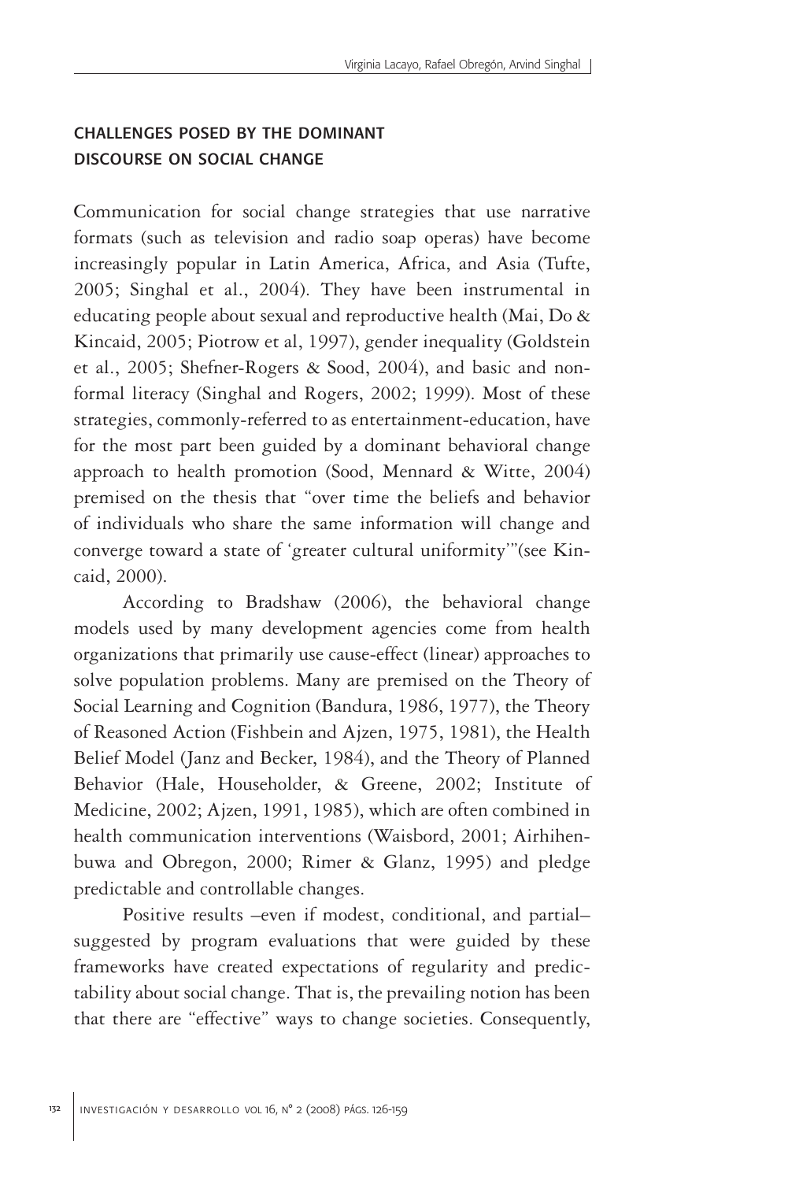## challenges posed by the dominant discourse on social change

Communication for social change strategies that use narrative formats (such as television and radio soap operas) have become increasingly popular in Latin America, Africa, and Asia (Tufte, 2005; Singhal et al., 2004). They have been instrumental in educating people about sexual and reproductive health (Mai, Do & Kincaid, 2005; Piotrow et al, 1997), gender inequality (Goldstein et al., 2005; Shefner-Rogers & Sood, 2004), and basic and nonformal literacy (Singhal and Rogers, 2002; 1999). Most of these strategies, commonly-referred to as entertainment-education, have for the most part been guided by a dominant behavioral change approach to health promotion (Sood, Mennard & Witte, 2004) premised on the thesis that "over time the beliefs and behavior of individuals who share the same information will change and converge toward a state of 'greater cultural uniformity'"(see Kincaid, 2000).

According to Bradshaw (2006), the behavioral change models used by many development agencies come from health organizations that primarily use cause-effect (linear) approaches to solve population problems. Many are premised on the Theory of Social Learning and Cognition (Bandura, 1986, 1977), the Theory of Reasoned Action (Fishbein and Ajzen, 1975, 1981), the Health Belief Model (Janz and Becker, 1984), and the Theory of Planned Behavior (Hale, Householder, & Greene, 2002; Institute of Medicine, 2002; Ajzen, 1991, 1985), which are often combined in health communication interventions (Waisbord, 2001; Airhihenbuwa and Obregon, 2000; Rimer & Glanz, 1995) and pledge predictable and controllable changes.

Positive results –even if modest, conditional, and partial– suggested by program evaluations that were guided by these frameworks have created expectations of regularity and predictability about social change. That is, the prevailing notion has been that there are "effective" ways to change societies. Consequently,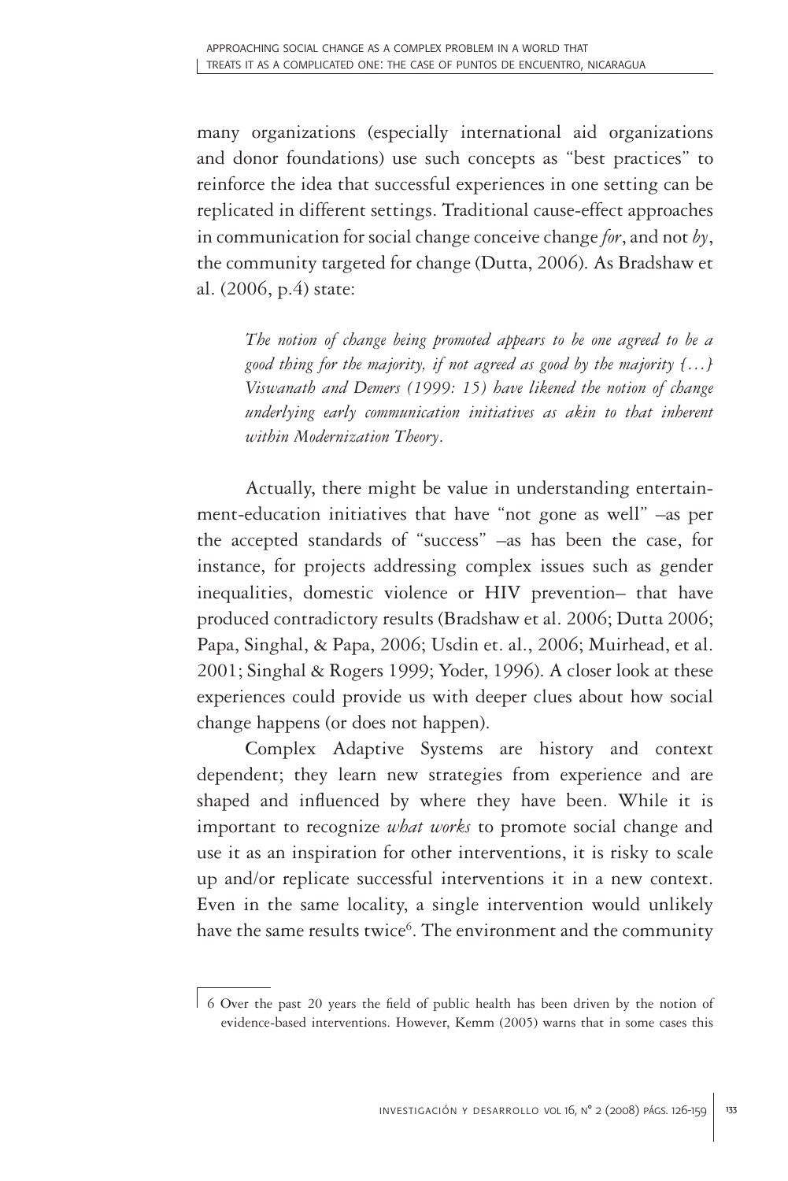many organizations (especially international aid organizations and donor foundations) use such concepts as "best practices" to reinforce the idea that successful experiences in one setting can be replicated in different settings. Traditional cause-effect approaches in communication for social change conceive change *for*, and not *by*, the community targeted for change (Dutta, 2006). As Bradshaw et al. (2006, p.4) state:

*The notion of change being promoted appears to be one agreed to be a good thing for the majority, if not agreed as good by the majority […] Viswanath and Demers (1999: 15) have likened the notion of change underlying early communication initiatives as akin to that inherent within Modernization Theory*.

Actually, there might be value in understanding entertainment-education initiatives that have "not gone as well" –as per the accepted standards of "success" –as has been the case, for instance, for projects addressing complex issues such as gender inequalities, domestic violence or HIV prevention– that have produced contradictory results (Bradshaw et al. 2006; Dutta 2006; Papa, Singhal, & Papa, 2006; Usdin et. al., 2006; Muirhead, et al. 2001; Singhal & Rogers 1999; Yoder, 1996). A closer look at these experiences could provide us with deeper clues about how social change happens (or does not happen).

Complex Adaptive Systems are history and context dependent; they learn new strategies from experience and are shaped and influenced by where they have been. While it is important to recognize *what works* to promote social change and use it as an inspiration for other interventions, it is risky to scale up and/or replicate successful interventions it in a new context. Even in the same locality, a single intervention would unlikely have the same results twice<sup>6</sup>. The environment and the community

<sup>6</sup> Over the past 20 years the field of public health has been driven by the notion of evidence-based interventions. However, Kemm (2005) warns that in some cases this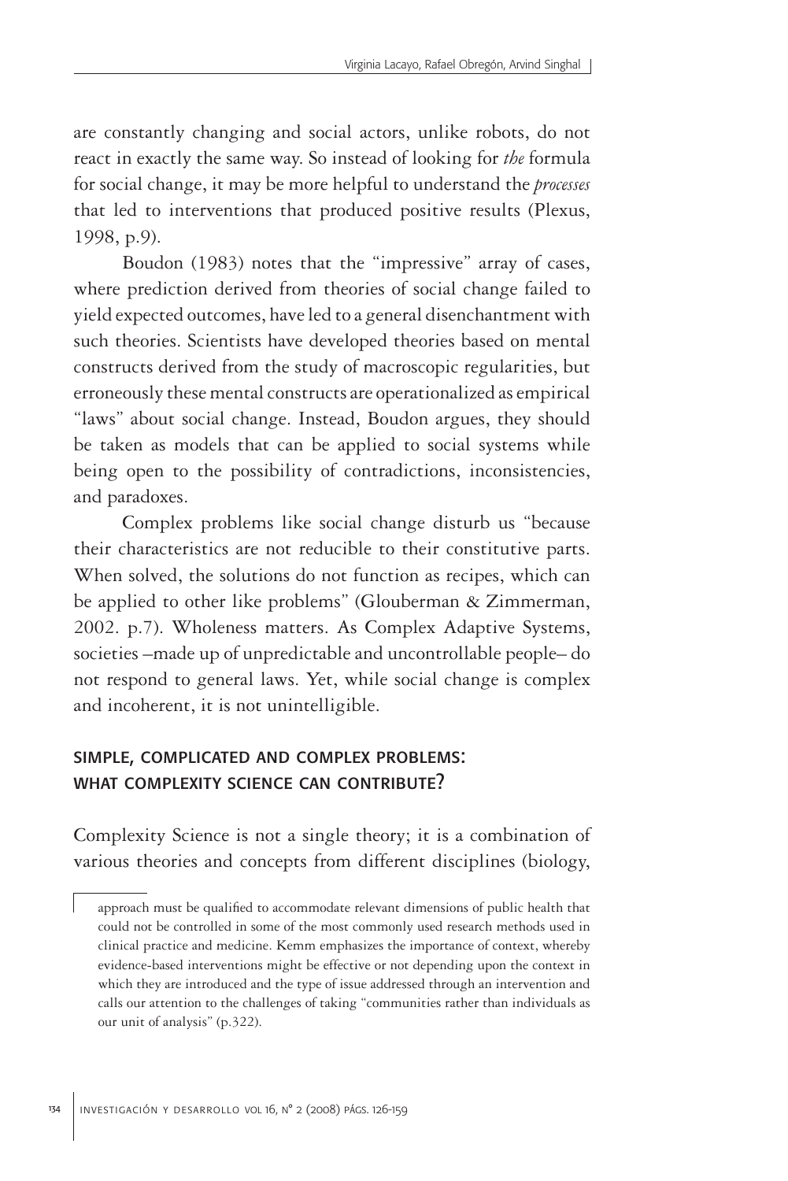are constantly changing and social actors, unlike robots, do not react in exactly the same way. So instead of looking for *the* formula for social change, it may be more helpful to understand the *processes* that led to interventions that produced positive results (Plexus, 1998, p.9).

Boudon (1983) notes that the "impressive" array of cases, where prediction derived from theories of social change failed to yield expected outcomes, have led to a general disenchantment with such theories. Scientists have developed theories based on mental constructs derived from the study of macroscopic regularities, but erroneously these mental constructs are operationalized as empirical "laws" about social change. Instead, Boudon argues, they should be taken as models that can be applied to social systems while being open to the possibility of contradictions, inconsistencies, and paradoxes.

Complex problems like social change disturb us "because their characteristics are not reducible to their constitutive parts. When solved, the solutions do not function as recipes, which can be applied to other like problems" (Glouberman & Zimmerman, 2002. p.7). Wholeness matters. As Complex Adaptive Systems, societies –made up of unpredictable and uncontrollable people– do not respond to general laws. Yet, while social change is complex and incoherent, it is not unintelligible.

## simple, complicated and complex problems: what complexity science can contribute?

Complexity Science is not a single theory; it is a combination of various theories and concepts from different disciplines (biology,

approach must be qualified to accommodate relevant dimensions of public health that could not be controlled in some of the most commonly used research methods used in clinical practice and medicine. Kemm emphasizes the importance of context, whereby evidence-based interventions might be effective or not depending upon the context in which they are introduced and the type of issue addressed through an intervention and calls our attention to the challenges of taking "communities rather than individuals as our unit of analysis" (p.322).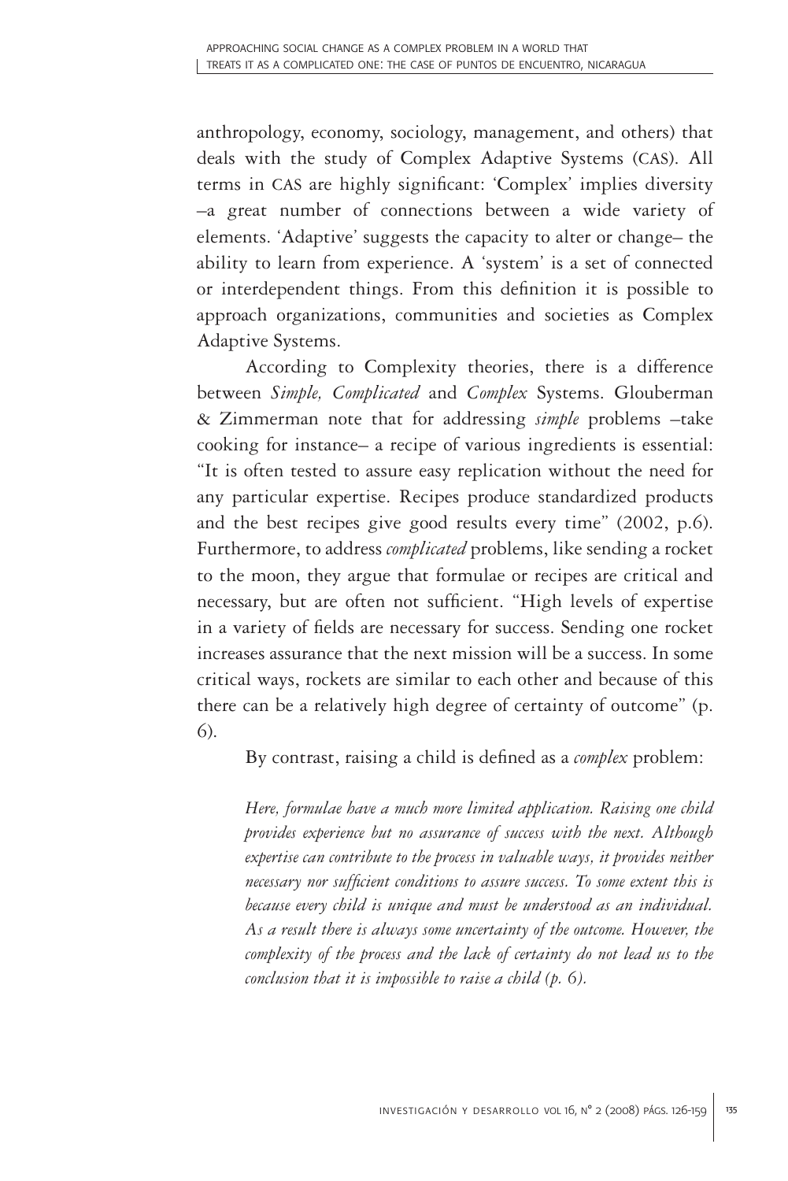anthropology, economy, sociology, management, and others) that deals with the study of Complex Adaptive Systems (CAS). All terms in CAS are highly significant: 'Complex' implies diversity –a great number of connections between a wide variety of elements. 'Adaptive' suggests the capacity to alter or change– the ability to learn from experience. A 'system' is a set of connected or interdependent things. From this definition it is possible to approach organizations, communities and societies as Complex Adaptive Systems.

According to Complexity theories, there is a difference between *Simple, Complicated* and *Complex* Systems. Glouberman & Zimmerman note that for addressing *simple* problems –take cooking for instance– a recipe of various ingredients is essential: "It is often tested to assure easy replication without the need for any particular expertise. Recipes produce standardized products and the best recipes give good results every time" (2002, p.6). Furthermore, to address *complicated* problems, like sending a rocket to the moon, they argue that formulae or recipes are critical and necessary, but are often not sufficient. "High levels of expertise in a variety of fields are necessary for success. Sending one rocket increases assurance that the next mission will be a success. In some critical ways, rockets are similar to each other and because of this there can be a relatively high degree of certainty of outcome" (p. 6).

By contrast, raising a child is defined as a *complex* problem:

*Here, formulae have a much more limited application. Raising one child provides experience but no assurance of success with the next. Although*  expertise can contribute to the process in valuable ways, it provides neither *necessary nor sufficient conditions to assure success. To some extent this is because every child is unique and must be understood as an individual. As a result there is always some uncertainty of the outcome. However, the complexity of the process and the lack of certainty do not lead us to the conclusion that it is impossible to raise a child (p. 6).*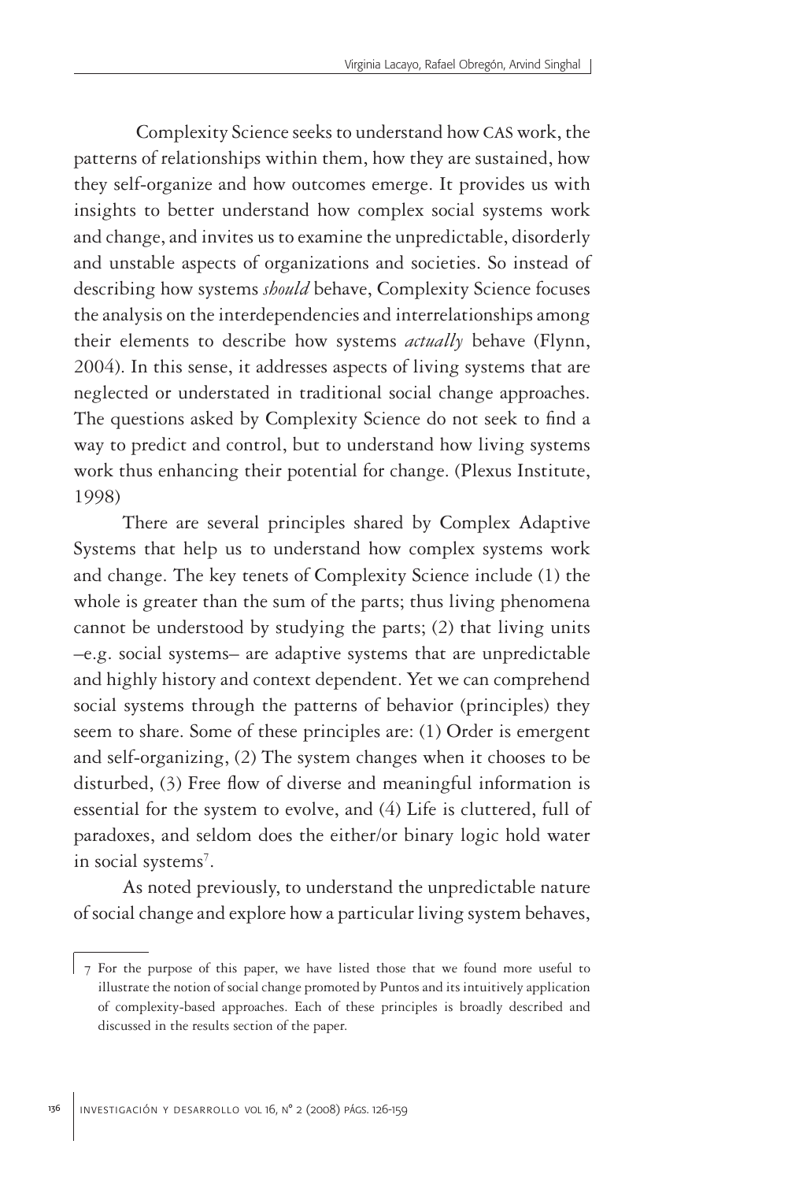Complexity Science seeks to understand how CAS work, the patterns of relationships within them, how they are sustained, how they self-organize and how outcomes emerge. It provides us with insights to better understand how complex social systems work and change, and invites us to examine the unpredictable, disorderly and unstable aspects of organizations and societies. So instead of describing how systems *should* behave, Complexity Science focuses the analysis on the interdependencies and interrelationships among their elements to describe how systems *actually* behave (Flynn, 2004). In this sense, it addresses aspects of living systems that are neglected or understated in traditional social change approaches. The questions asked by Complexity Science do not seek to find a way to predict and control, but to understand how living systems work thus enhancing their potential for change. (Plexus Institute, 1998)

There are several principles shared by Complex Adaptive Systems that help us to understand how complex systems work and change. The key tenets of Complexity Science include (1) the whole is greater than the sum of the parts; thus living phenomena cannot be understood by studying the parts; (2) that living units –e.g. social systems– are adaptive systems that are unpredictable and highly history and context dependent. Yet we can comprehend social systems through the patterns of behavior (principles) they seem to share. Some of these principles are: (1) Order is emergent and self-organizing, (2) The system changes when it chooses to be disturbed, (3) Free flow of diverse and meaningful information is essential for the system to evolve, and (4) Life is cluttered, full of paradoxes, and seldom does the either/or binary logic hold water in social systems<sup>7</sup>.

As noted previously, to understand the unpredictable nature of social change and explore how a particular living system behaves,

<sup>7</sup> For the purpose of this paper, we have listed those that we found more useful to illustrate the notion of social change promoted by Puntos and its intuitively application of complexity-based approaches. Each of these principles is broadly described and discussed in the results section of the paper.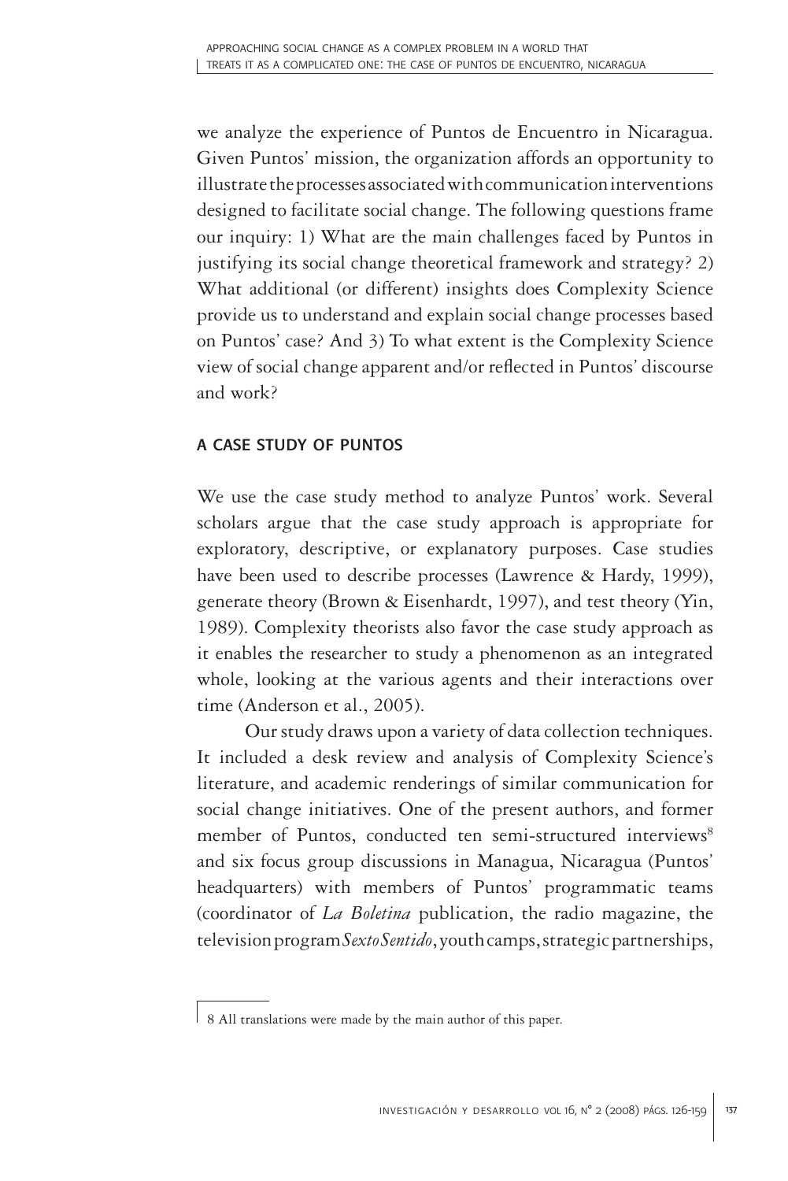we analyze the experience of Puntos de Encuentro in Nicaragua. Given Puntos' mission, the organization affords an opportunity to illustrate the processes associated with communication interventions designed to facilitate social change. The following questions frame our inquiry: 1) What are the main challenges faced by Puntos in justifying its social change theoretical framework and strategy? 2) What additional (or different) insights does Complexity Science provide us to understand and explain social change processes based on Puntos' case? And 3) To what extent is the Complexity Science view of social change apparent and/or reflected in Puntos' discourse and work?

### a case study of puntos

We use the case study method to analyze Puntos' work. Several scholars argue that the case study approach is appropriate for exploratory, descriptive, or explanatory purposes. Case studies have been used to describe processes (Lawrence & Hardy, 1999), generate theory (Brown & Eisenhardt, 1997), and test theory (Yin, 1989). Complexity theorists also favor the case study approach as it enables the researcher to study a phenomenon as an integrated whole, looking at the various agents and their interactions over time (Anderson et al., 2005).

Our study draws upon a variety of data collection techniques. It included a desk review and analysis of Complexity Science's literature, and academic renderings of similar communication for social change initiatives. One of the present authors, and former member of Puntos, conducted ten semi-structured interviews<sup>8</sup> and six focus group discussions in Managua, Nicaragua (Puntos' headquarters) with members of Puntos' programmatic teams (coordinator of *La Boletina* publication, the radio magazine, the television program *Sexto Sentido*, youth camps, strategic partnerships,

<sup>8</sup> All translations were made by the main author of this paper.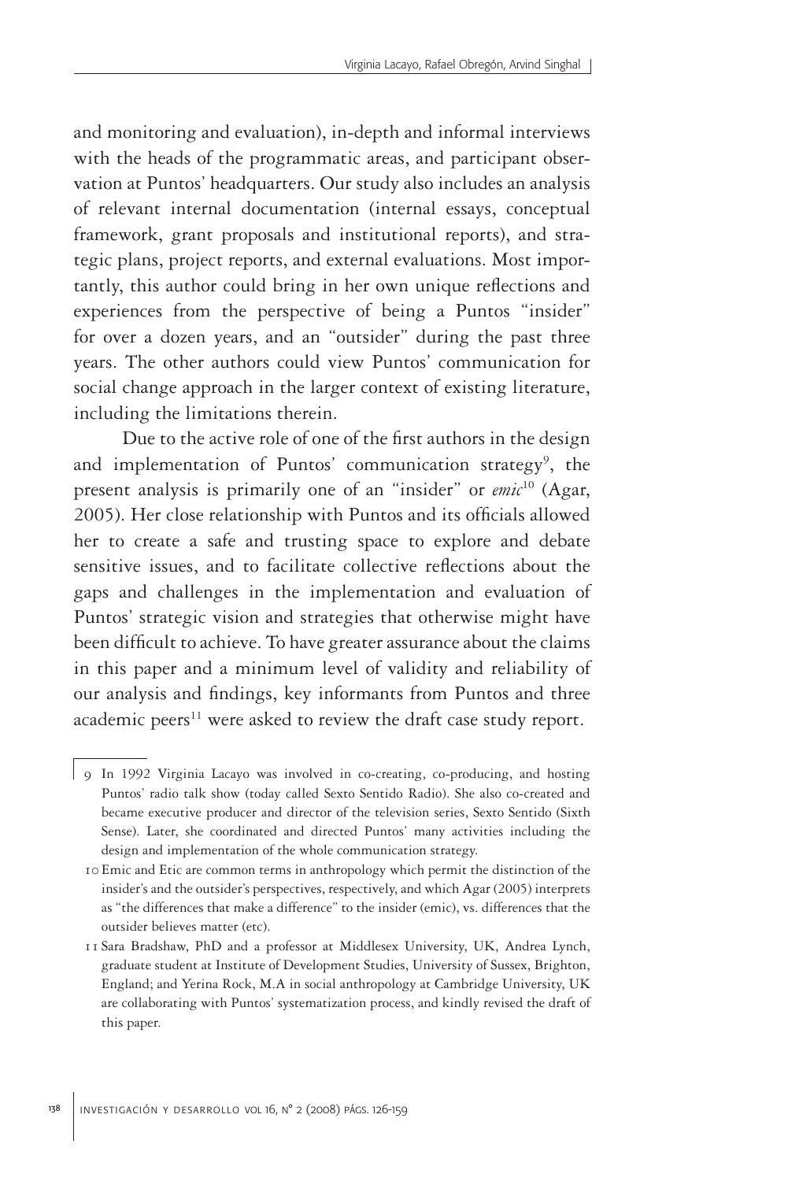and monitoring and evaluation), in-depth and informal interviews with the heads of the programmatic areas, and participant observation at Puntos' headquarters. Our study also includes an analysis of relevant internal documentation (internal essays, conceptual framework, grant proposals and institutional reports), and strategic plans, project reports, and external evaluations. Most importantly, this author could bring in her own unique reflections and experiences from the perspective of being a Puntos "insider" for over a dozen years, and an "outsider" during the past three years. The other authors could view Puntos' communication for social change approach in the larger context of existing literature, including the limitations therein.

Due to the active role of one of the first authors in the design and implementation of Puntos' communication strategy<sup>9</sup>, the present analysis is primarily one of an "insider" or *emic*10 (Agar, 2005). Her close relationship with Puntos and its officials allowed her to create a safe and trusting space to explore and debate sensitive issues, and to facilitate collective reflections about the gaps and challenges in the implementation and evaluation of Puntos' strategic vision and strategies that otherwise might have been difficult to achieve. To have greater assurance about the claims in this paper and a minimum level of validity and reliability of our analysis and findings, key informants from Puntos and three academic peers<sup>11</sup> were asked to review the draft case study report.

<sup>9</sup> In 1992 Virginia Lacayo was involved in co-creating, co-producing, and hosting Puntos' radio talk show (today called Sexto Sentido Radio). She also co-created and became executive producer and director of the television series, Sexto Sentido (Sixth Sense). Later, she coordinated and directed Puntos' many activities including the design and implementation of the whole communication strategy.

<sup>10</sup> Emic and Etic are common terms in anthropology which permit the distinction of the insider's and the outsider's perspectives, respectively, and which Agar (2005) interprets as "the differences that make a difference" to the insider (emic), vs. differences that the outsider believes matter (etc).

<sup>11</sup> Sara Bradshaw, PhD and a professor at Middlesex University, UK, Andrea Lynch, graduate student at Institute of Development Studies, University of Sussex, Brighton, England; and Yerina Rock, M.A in social anthropology at Cambridge University, UK are collaborating with Puntos' systematization process, and kindly revised the draft of this paper.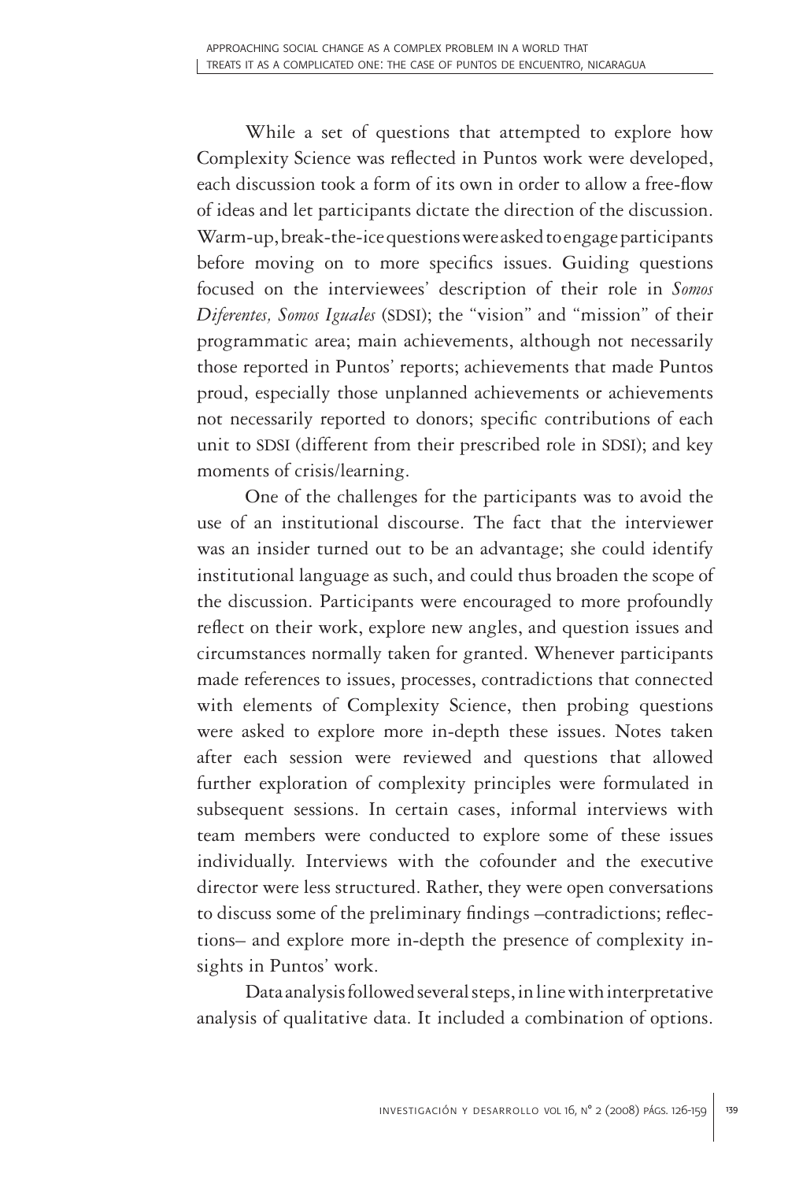While a set of questions that attempted to explore how Complexity Science was reflected in Puntos work were developed, each discussion took a form of its own in order to allow a free-flow of ideas and let participants dictate the direction of the discussion. Warm-up, break-the-ice questions were asked to engage participants before moving on to more specifics issues. Guiding questions focused on the interviewees' description of their role in *Somos Diferentes, Somos Iguales* (SDSI); the "vision" and "mission" of their programmatic area; main achievements, although not necessarily those reported in Puntos' reports; achievements that made Puntos proud, especially those unplanned achievements or achievements not necessarily reported to donors; specific contributions of each unit to SDSI (different from their prescribed role in SDSI); and key moments of crisis/learning.

One of the challenges for the participants was to avoid the use of an institutional discourse. The fact that the interviewer was an insider turned out to be an advantage; she could identify institutional language as such, and could thus broaden the scope of the discussion. Participants were encouraged to more profoundly reflect on their work, explore new angles, and question issues and circumstances normally taken for granted. Whenever participants made references to issues, processes, contradictions that connected with elements of Complexity Science, then probing questions were asked to explore more in-depth these issues. Notes taken after each session were reviewed and questions that allowed further exploration of complexity principles were formulated in subsequent sessions. In certain cases, informal interviews with team members were conducted to explore some of these issues individually. Interviews with the cofounder and the executive director were less structured. Rather, they were open conversations to discuss some of the preliminary findings –contradictions; reflections– and explore more in-depth the presence of complexity insights in Puntos' work.

Data analysis followed several steps, in line with interpretative analysis of qualitative data. It included a combination of options.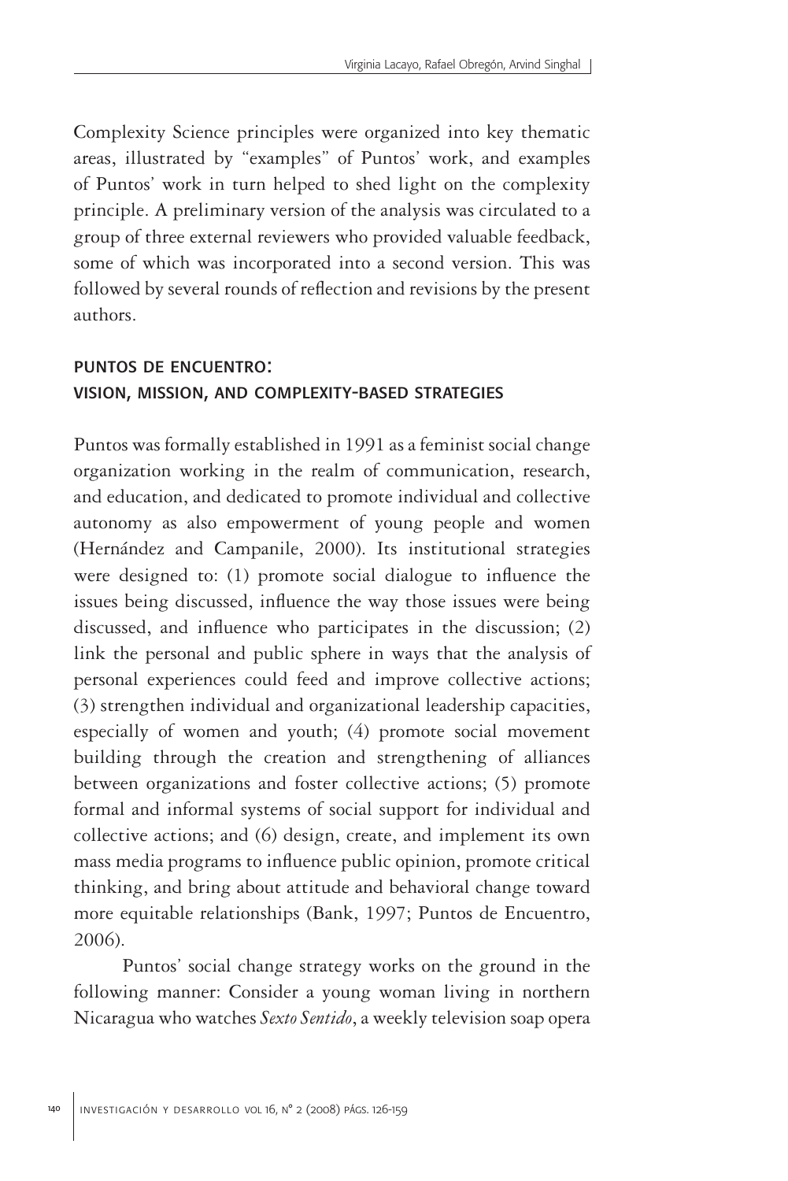Complexity Science principles were organized into key thematic areas, illustrated by "examples" of Puntos' work, and examples of Puntos' work in turn helped to shed light on the complexity principle. A preliminary version of the analysis was circulated to a group of three external reviewers who provided valuable feedback, some of which was incorporated into a second version. This was followed by several rounds of reflection and revisions by the present authors.

# puntos de encuentro: vision, mission, and complexity-based strategies

Puntos was formally established in 1991 as a feminist social change organization working in the realm of communication, research, and education, and dedicated to promote individual and collective autonomy as also empowerment of young people and women (Hernández and Campanile, 2000). Its institutional strategies were designed to: (1) promote social dialogue to influence the issues being discussed, influence the way those issues were being discussed, and influence who participates in the discussion; (2) link the personal and public sphere in ways that the analysis of personal experiences could feed and improve collective actions; (3) strengthen individual and organizational leadership capacities, especially of women and youth; (4) promote social movement building through the creation and strengthening of alliances between organizations and foster collective actions; (5) promote formal and informal systems of social support for individual and collective actions; and (6) design, create, and implement its own mass media programs to influence public opinion, promote critical thinking, and bring about attitude and behavioral change toward more equitable relationships (Bank, 1997; Puntos de Encuentro, 2006).

Puntos' social change strategy works on the ground in the following manner: Consider a young woman living in northern Nicaragua who watches *Sexto Sentido*, a weekly television soap opera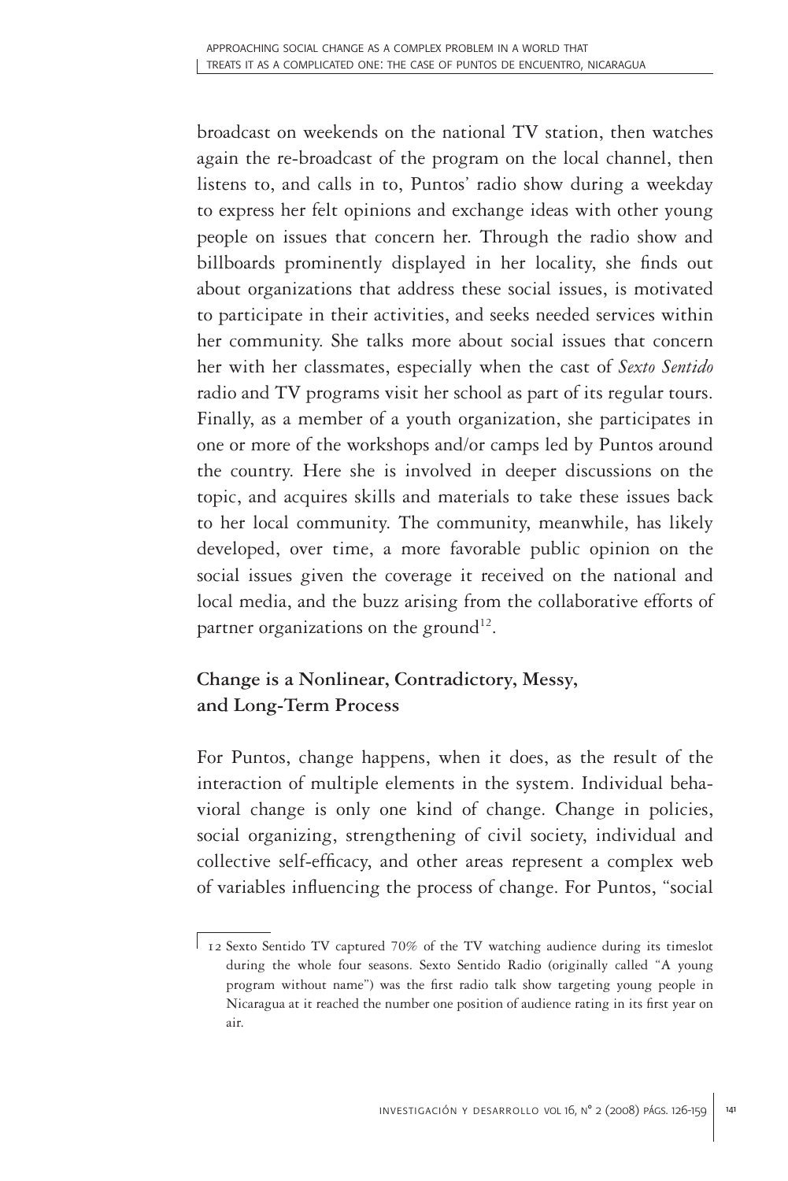broadcast on weekends on the national TV station, then watches again the re-broadcast of the program on the local channel, then listens to, and calls in to, Puntos' radio show during a weekday to express her felt opinions and exchange ideas with other young people on issues that concern her. Through the radio show and billboards prominently displayed in her locality, she finds out about organizations that address these social issues, is motivated to participate in their activities, and seeks needed services within her community. She talks more about social issues that concern her with her classmates, especially when the cast of *Sexto Sentido* radio and TV programs visit her school as part of its regular tours. Finally, as a member of a youth organization, she participates in one or more of the workshops and/or camps led by Puntos around the country. Here she is involved in deeper discussions on the topic, and acquires skills and materials to take these issues back to her local community. The community, meanwhile, has likely developed, over time, a more favorable public opinion on the social issues given the coverage it received on the national and local media, and the buzz arising from the collaborative efforts of partner organizations on the ground<sup>12</sup>.

# **Change is a Nonlinear, Contradictory, Messy, and Long-Term Process**

For Puntos, change happens, when it does, as the result of the interaction of multiple elements in the system. Individual behavioral change is only one kind of change. Change in policies, social organizing, strengthening of civil society, individual and collective self-efficacy, and other areas represent a complex web of variables influencing the process of change. For Puntos, "social

<sup>12</sup> Sexto Sentido TV captured 70% of the TV watching audience during its timeslot during the whole four seasons. Sexto Sentido Radio (originally called "A young program without name") was the first radio talk show targeting young people in Nicaragua at it reached the number one position of audience rating in its first year on air.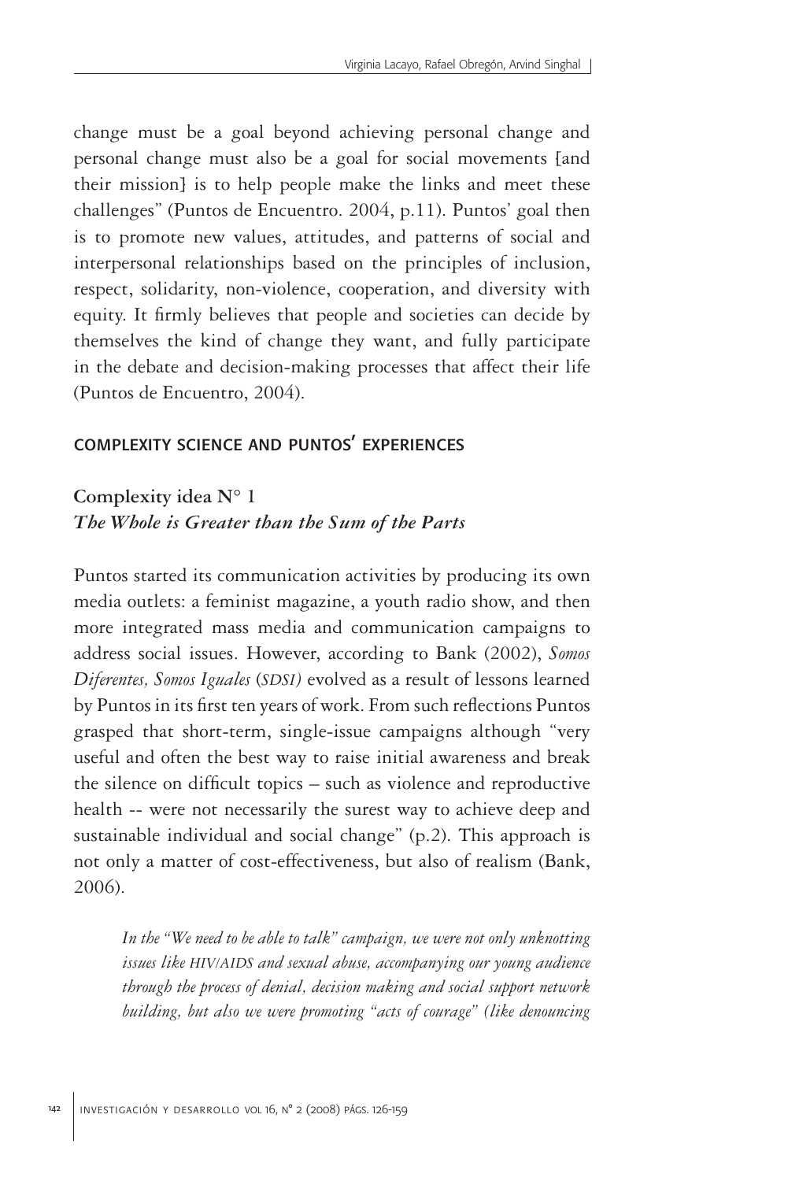change must be a goal beyond achieving personal change and personal change must also be a goal for social movements [and their mission] is to help people make the links and meet these challenges" (Puntos de Encuentro. 2004, p.11). Puntos' goal then is to promote new values, attitudes, and patterns of social and interpersonal relationships based on the principles of inclusion, respect, solidarity, non-violence, cooperation, and diversity with equity. It firmly believes that people and societies can decide by themselves the kind of change they want, and fully participate in the debate and decision-making processes that affect their life (Puntos de Encuentro, 2004).

### complexity science and puntos' experiences

## **Complexity idea N° 1** *The Whole is Greater than the Sum of the Parts*

Puntos started its communication activities by producing its own media outlets: a feminist magazine, a youth radio show, and then more integrated mass media and communication campaigns to address social issues. However, according to Bank (2002), *Somos Diferentes, Somos Iguales* (*SDSI)* evolved as a result of lessons learned by Puntos in its first ten years of work. From such reflections Puntos grasped that short-term, single-issue campaigns although "very useful and often the best way to raise initial awareness and break the silence on difficult topics – such as violence and reproductive health -- were not necessarily the surest way to achieve deep and sustainable individual and social change" (p.2). This approach is not only a matter of cost-effectiveness, but also of realism (Bank, 2006).

*In the "We need to be able to talk" campaign, we were not only unknotting issues like HIV/AIDS and sexual abuse, accompanying our young audience through the process of denial, decision making and social support network building, but also we were promoting "acts of courage" (like denouncing*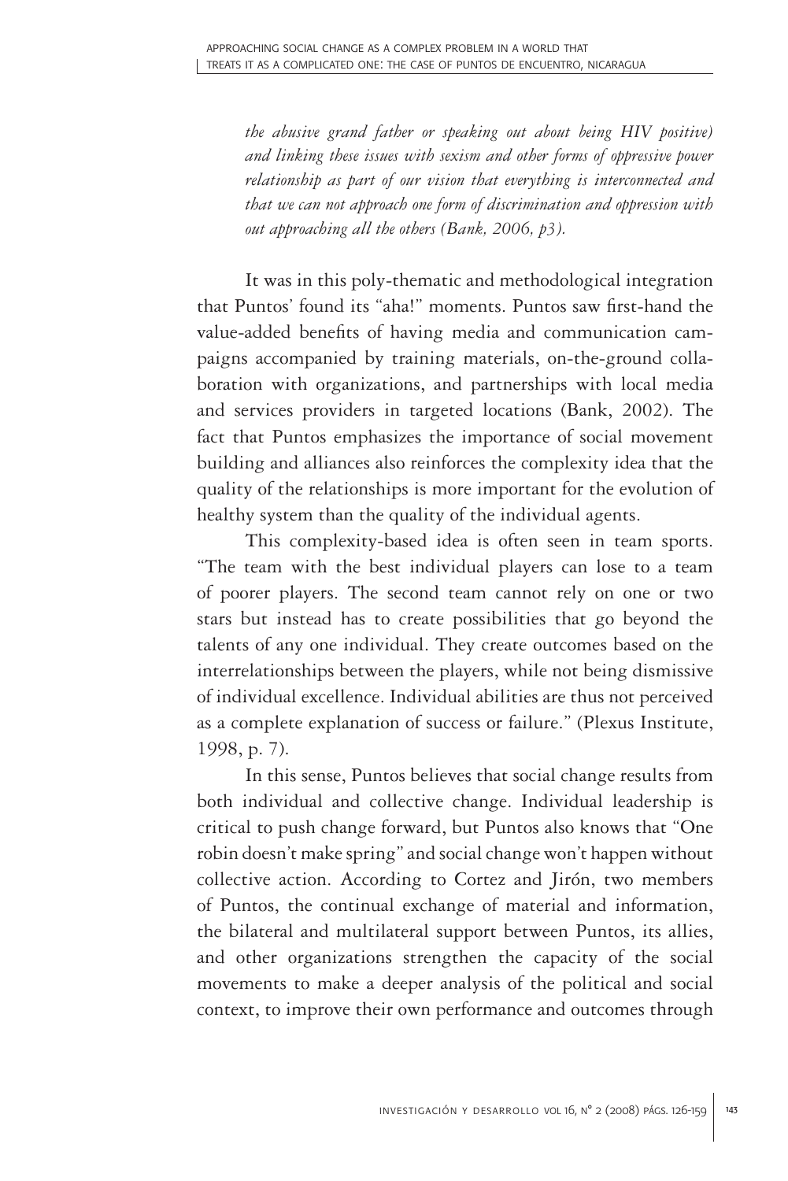*the abusive grand father or speaking out about being HIV positive) and linking these issues with sexism and other forms of oppressive power relationship as part of our vision that everything is interconnected and that we can not approach one form of discrimination and oppression with out approaching all the others (Bank, 2006, p3).* 

It was in this poly-thematic and methodological integration that Puntos' found its "aha!" moments. Puntos saw first-hand the value-added benefits of having media and communication campaigns accompanied by training materials, on-the-ground collaboration with organizations, and partnerships with local media and services providers in targeted locations (Bank, 2002). The fact that Puntos emphasizes the importance of social movement building and alliances also reinforces the complexity idea that the quality of the relationships is more important for the evolution of healthy system than the quality of the individual agents.

This complexity-based idea is often seen in team sports. "The team with the best individual players can lose to a team of poorer players. The second team cannot rely on one or two stars but instead has to create possibilities that go beyond the talents of any one individual. They create outcomes based on the interrelationships between the players, while not being dismissive of individual excellence. Individual abilities are thus not perceived as a complete explanation of success or failure." (Plexus Institute, 1998, p. 7).

In this sense, Puntos believes that social change results from both individual and collective change. Individual leadership is critical to push change forward, but Puntos also knows that "One robin doesn't make spring" and social change won't happen without collective action. According to Cortez and Jirón, two members of Puntos, the continual exchange of material and information, the bilateral and multilateral support between Puntos, its allies, and other organizations strengthen the capacity of the social movements to make a deeper analysis of the political and social context, to improve their own performance and outcomes through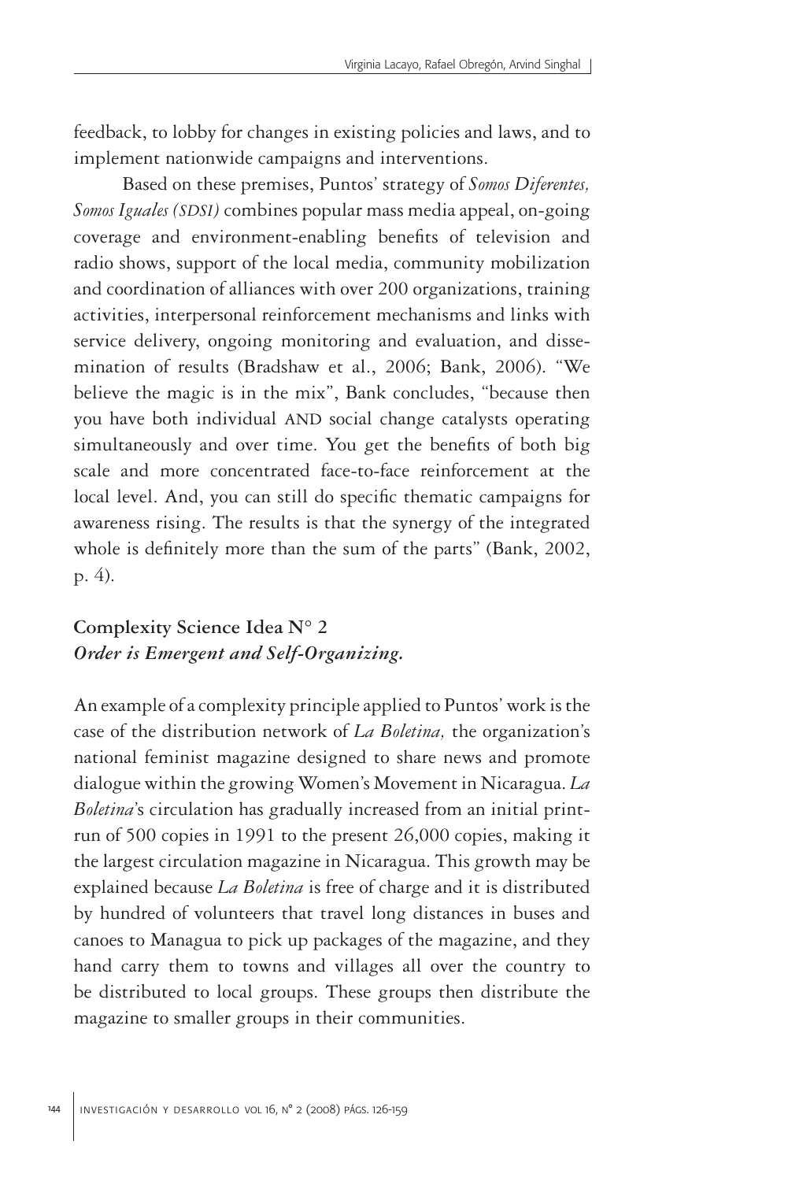feedback, to lobby for changes in existing policies and laws, and to implement nationwide campaigns and interventions.

Based on these premises, Puntos' strategy of *Somos Diferentes, Somos Iguales (SDSI)* combines popular mass media appeal, on-going coverage and environment-enabling benefits of television and radio shows, support of the local media, community mobilization and coordination of alliances with over 200 organizations, training activities, interpersonal reinforcement mechanisms and links with service delivery, ongoing monitoring and evaluation, and dissemination of results (Bradshaw et al., 2006; Bank, 2006). "We believe the magic is in the mix", Bank concludes, "because then you have both individual AND social change catalysts operating simultaneously and over time. You get the benefits of both big scale and more concentrated face-to-face reinforcement at the local level. And, you can still do specific thematic campaigns for awareness rising. The results is that the synergy of the integrated whole is definitely more than the sum of the parts" (Bank, 2002, p. 4).

## **Complexity Science Idea N° 2** *Order is Emergent and Self-Organizing.*

An example of a complexity principle applied to Puntos' work is the case of the distribution network of *La Boletina,* the organization's national feminist magazine designed to share news and promote dialogue within the growing Women's Movement in Nicaragua. *La Boletina*'s circulation has gradually increased from an initial printrun of 500 copies in 1991 to the present 26,000 copies, making it the largest circulation magazine in Nicaragua. This growth may be explained because *La Boletina* is free of charge and it is distributed by hundred of volunteers that travel long distances in buses and canoes to Managua to pick up packages of the magazine, and they hand carry them to towns and villages all over the country to be distributed to local groups. These groups then distribute the magazine to smaller groups in their communities.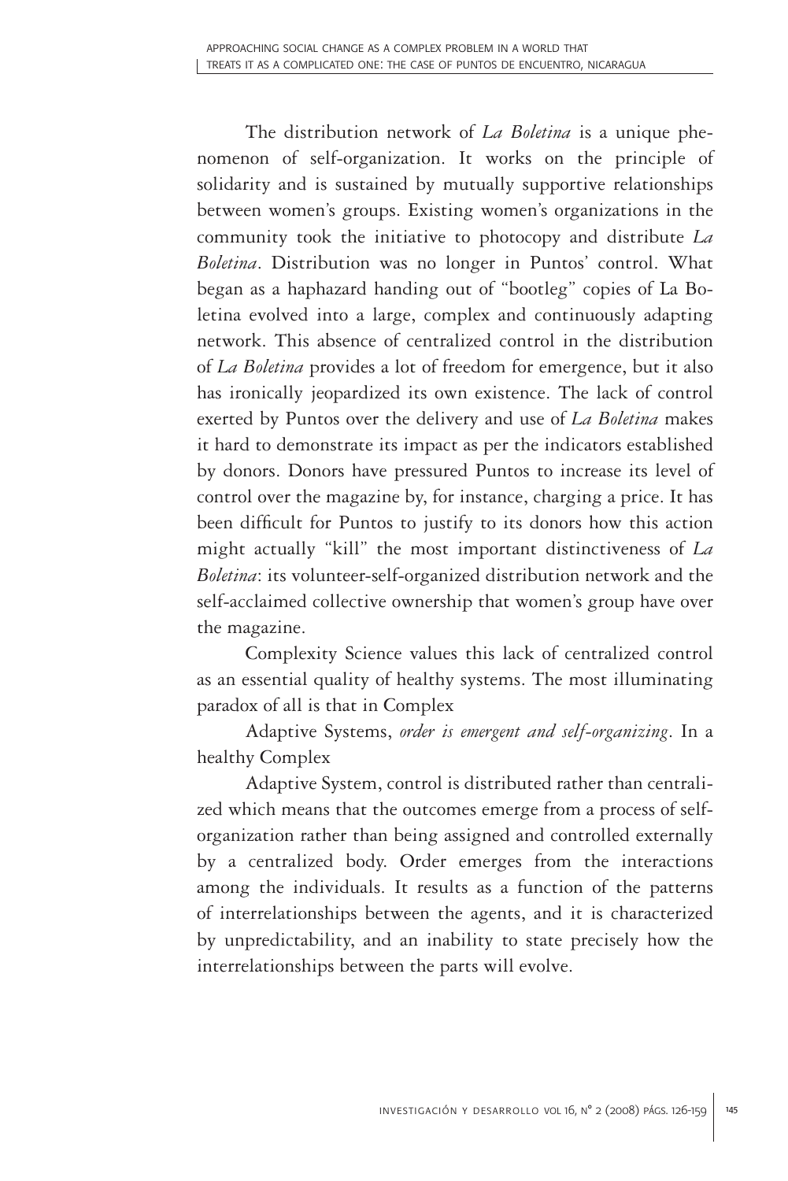The distribution network of *La Boletina* is a unique phenomenon of self-organization. It works on the principle of solidarity and is sustained by mutually supportive relationships between women's groups. Existing women's organizations in the community took the initiative to photocopy and distribute *La Boletina*. Distribution was no longer in Puntos' control. What began as a haphazard handing out of "bootleg" copies of La Boletina evolved into a large, complex and continuously adapting network. This absence of centralized control in the distribution of *La Boletina* provides a lot of freedom for emergence, but it also has ironically jeopardized its own existence. The lack of control exerted by Puntos over the delivery and use of *La Boletina* makes it hard to demonstrate its impact as per the indicators established by donors. Donors have pressured Puntos to increase its level of control over the magazine by, for instance, charging a price. It has been difficult for Puntos to justify to its donors how this action might actually "kill" the most important distinctiveness of *La Boletina*: its volunteer-self-organized distribution network and the self-acclaimed collective ownership that women's group have over the magazine.

Complexity Science values this lack of centralized control as an essential quality of healthy systems. The most illuminating paradox of all is that in Complex

Adaptive Systems, *order is emergent and self-organizing*. In a healthy Complex

Adaptive System, control is distributed rather than centralized which means that the outcomes emerge from a process of selforganization rather than being assigned and controlled externally by a centralized body. Order emerges from the interactions among the individuals. It results as a function of the patterns of interrelationships between the agents, and it is characterized by unpredictability, and an inability to state precisely how the interrelationships between the parts will evolve.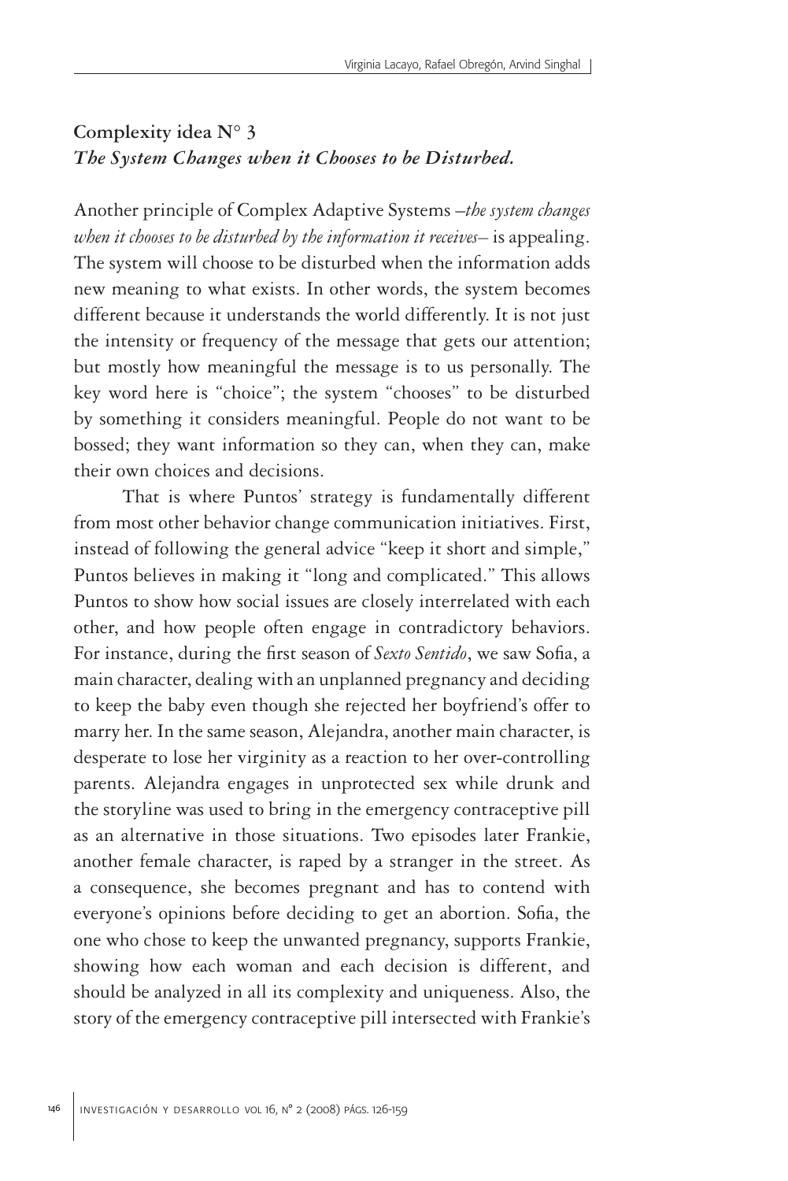## **Complexity idea N° 3** *The System Changes when it Chooses to be Disturbed.*

Another principle of Complex Adaptive Systems –*the system changes when it chooses to be disturbed by the information it receives–* is appealing. The system will choose to be disturbed when the information adds new meaning to what exists. In other words, the system becomes different because it understands the world differently. It is not just the intensity or frequency of the message that gets our attention; but mostly how meaningful the message is to us personally. The key word here is "choice"; the system "chooses" to be disturbed by something it considers meaningful. People do not want to be bossed; they want information so they can, when they can, make their own choices and decisions.

That is where Puntos' strategy is fundamentally different from most other behavior change communication initiatives. First, instead of following the general advice "keep it short and simple," Puntos believes in making it "long and complicated." This allows Puntos to show how social issues are closely interrelated with each other, and how people often engage in contradictory behaviors. For instance, during the first season of *Sexto Sentido*, we saw Sofia, a main character, dealing with an unplanned pregnancy and deciding to keep the baby even though she rejected her boyfriend's offer to marry her. In the same season, Alejandra, another main character, is desperate to lose her virginity as a reaction to her over-controlling parents. Alejandra engages in unprotected sex while drunk and the storyline was used to bring in the emergency contraceptive pill as an alternative in those situations. Two episodes later Frankie, another female character, is raped by a stranger in the street. As a consequence, she becomes pregnant and has to contend with everyone's opinions before deciding to get an abortion. Sofia, the one who chose to keep the unwanted pregnancy, supports Frankie, showing how each woman and each decision is different, and should be analyzed in all its complexity and uniqueness. Also, the story of the emergency contraceptive pill intersected with Frankie's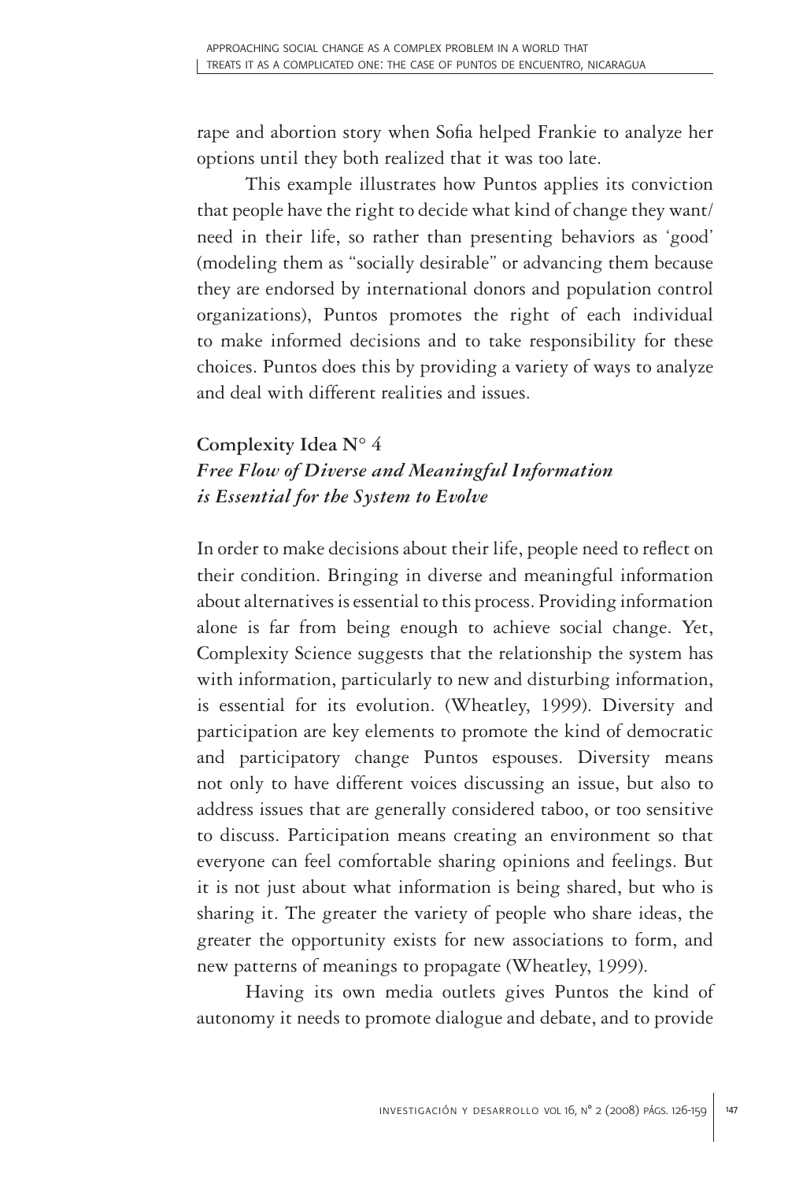rape and abortion story when Sofia helped Frankie to analyze her options until they both realized that it was too late.

This example illustrates how Puntos applies its conviction that people have the right to decide what kind of change they want/ need in their life, so rather than presenting behaviors as 'good' (modeling them as "socially desirable" or advancing them because they are endorsed by international donors and population control organizations), Puntos promotes the right of each individual to make informed decisions and to take responsibility for these choices. Puntos does this by providing a variety of ways to analyze and deal with different realities and issues.

# **Complexity Idea N° 4** *Free Flow of Diverse and Meaningful Information is Essential for the System to Evolve*

In order to make decisions about their life, people need to reflect on their condition. Bringing in diverse and meaningful information about alternatives is essential to this process. Providing information alone is far from being enough to achieve social change. Yet, Complexity Science suggests that the relationship the system has with information, particularly to new and disturbing information, is essential for its evolution. (Wheatley, 1999). Diversity and participation are key elements to promote the kind of democratic and participatory change Puntos espouses. Diversity means not only to have different voices discussing an issue, but also to address issues that are generally considered taboo, or too sensitive to discuss. Participation means creating an environment so that everyone can feel comfortable sharing opinions and feelings. But it is not just about what information is being shared, but who is sharing it. The greater the variety of people who share ideas, the greater the opportunity exists for new associations to form, and new patterns of meanings to propagate (Wheatley, 1999).

Having its own media outlets gives Puntos the kind of autonomy it needs to promote dialogue and debate, and to provide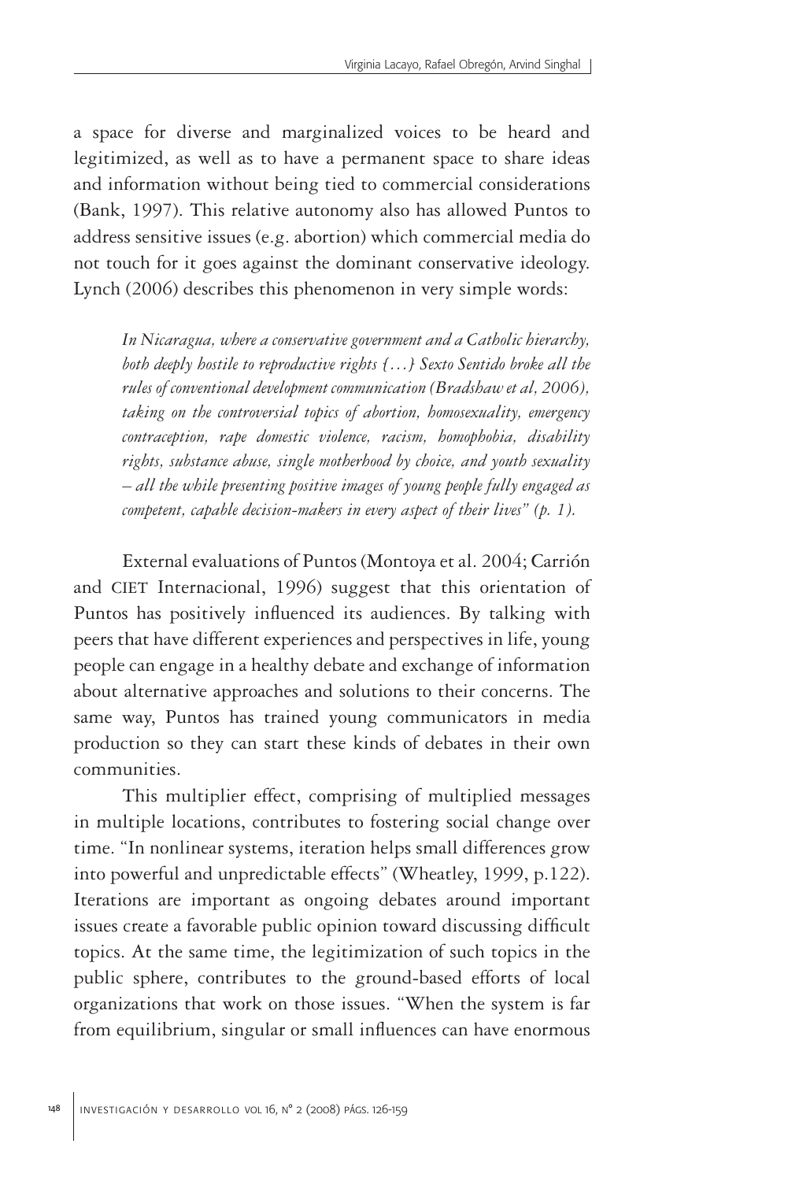a space for diverse and marginalized voices to be heard and legitimized, as well as to have a permanent space to share ideas and information without being tied to commercial considerations (Bank, 1997). This relative autonomy also has allowed Puntos to address sensitive issues (e.g. abortion) which commercial media do not touch for it goes against the dominant conservative ideology. Lynch (2006) describes this phenomenon in very simple words:

*In Nicaragua, where a conservative government and a Catholic hierarchy, both deeply hostile to reproductive rights […] Sexto Sentido broke all the rules of conventional development communication (Bradshaw et al, 2006), taking on the controversial topics of abortion, homosexuality, emergency contraception, rape domestic violence, racism, homophobia, disability rights, substance abuse, single motherhood by choice, and youth sexuality – all the while presenting positive images of young people fully engaged as competent, capable decision-makers in every aspect of their lives" (p. 1).* 

External evaluations of Puntos (Montoya et al. 2004; Carrión and CIET Internacional, 1996) suggest that this orientation of Puntos has positively influenced its audiences. By talking with peers that have different experiences and perspectives in life, young people can engage in a healthy debate and exchange of information about alternative approaches and solutions to their concerns. The same way, Puntos has trained young communicators in media production so they can start these kinds of debates in their own communities.

This multiplier effect, comprising of multiplied messages in multiple locations, contributes to fostering social change over time. "In nonlinear systems, iteration helps small differences grow into powerful and unpredictable effects" (Wheatley, 1999, p.122). Iterations are important as ongoing debates around important issues create a favorable public opinion toward discussing difficult topics. At the same time, the legitimization of such topics in the public sphere, contributes to the ground-based efforts of local organizations that work on those issues. "When the system is far from equilibrium, singular or small influences can have enormous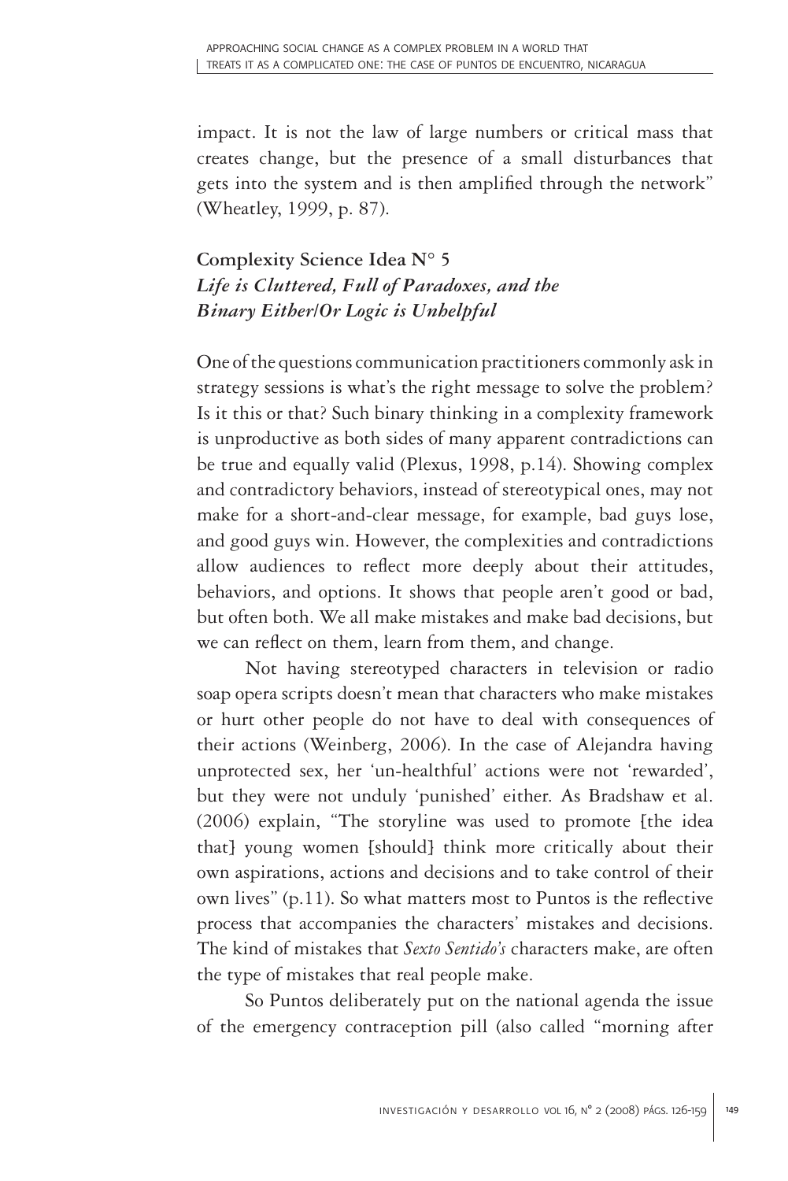impact. It is not the law of large numbers or critical mass that creates change, but the presence of a small disturbances that gets into the system and is then amplified through the network" (Wheatley, 1999, p. 87).

# **Complexity Science Idea N° 5** *Life is Cluttered, Full of Paradoxes, and the Binary Either/Or Logic is Unhelpful*

One of the questions communication practitioners commonly ask in strategy sessions is what's the right message to solve the problem? Is it this or that? Such binary thinking in a complexity framework is unproductive as both sides of many apparent contradictions can be true and equally valid (Plexus, 1998, p.14). Showing complex and contradictory behaviors, instead of stereotypical ones, may not make for a short-and-clear message, for example, bad guys lose, and good guys win. However, the complexities and contradictions allow audiences to reflect more deeply about their attitudes, behaviors, and options. It shows that people aren't good or bad, but often both. We all make mistakes and make bad decisions, but we can reflect on them, learn from them, and change.

Not having stereotyped characters in television or radio soap opera scripts doesn't mean that characters who make mistakes or hurt other people do not have to deal with consequences of their actions (Weinberg, 2006). In the case of Alejandra having unprotected sex, her 'un-healthful' actions were not 'rewarded', but they were not unduly 'punished' either. As Bradshaw et al. (2006) explain, "The storyline was used to promote [the idea that] young women [should] think more critically about their own aspirations, actions and decisions and to take control of their own lives" (p.11). So what matters most to Puntos is the reflective process that accompanies the characters' mistakes and decisions. The kind of mistakes that *Sexto Sentido's* characters make, are often the type of mistakes that real people make.

So Puntos deliberately put on the national agenda the issue of the emergency contraception pill (also called "morning after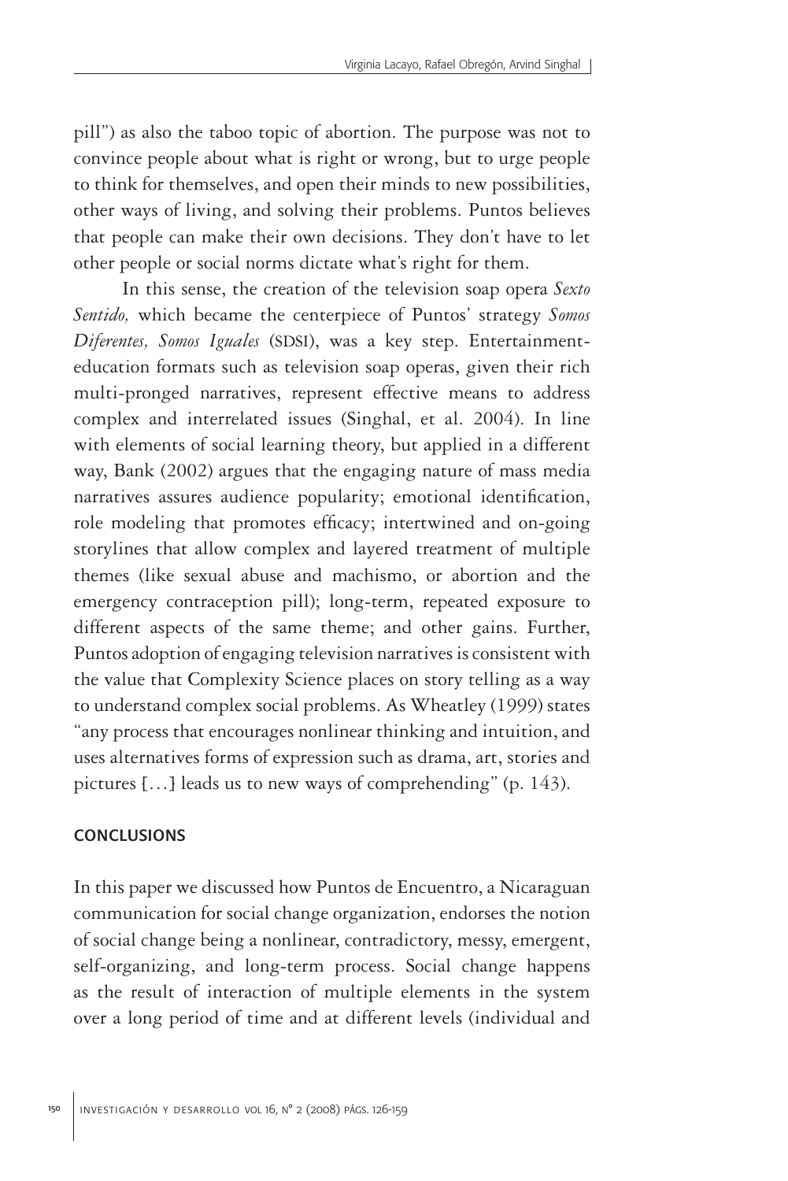pill") as also the taboo topic of abortion. The purpose was not to convince people about what is right or wrong, but to urge people to think for themselves, and open their minds to new possibilities, other ways of living, and solving their problems. Puntos believes that people can make their own decisions. They don't have to let other people or social norms dictate what's right for them.

In this sense, the creation of the television soap opera *Sexto Sentido,* which became the centerpiece of Puntos' strategy *Somos Diferentes, Somos Iguales* (SDSI), was a key step. Entertainmenteducation formats such as television soap operas, given their rich multi-pronged narratives, represent effective means to address complex and interrelated issues (Singhal, et al. 2004). In line with elements of social learning theory, but applied in a different way, Bank (2002) argues that the engaging nature of mass media narratives assures audience popularity; emotional identification, role modeling that promotes efficacy; intertwined and on-going storylines that allow complex and layered treatment of multiple themes (like sexual abuse and machismo, or abortion and the emergency contraception pill); long-term, repeated exposure to different aspects of the same theme; and other gains. Further, Puntos adoption of engaging television narratives is consistent with the value that Complexity Science places on story telling as a way to understand complex social problems. As Wheatley (1999) states "any process that encourages nonlinear thinking and intuition, and uses alternatives forms of expression such as drama, art, stories and pictures […] leads us to new ways of comprehending" (p. 143).

#### conclusions

In this paper we discussed how Puntos de Encuentro, a Nicaraguan communication for social change organization, endorses the notion of social change being a nonlinear, contradictory, messy, emergent, self-organizing, and long-term process. Social change happens as the result of interaction of multiple elements in the system over a long period of time and at different levels (individual and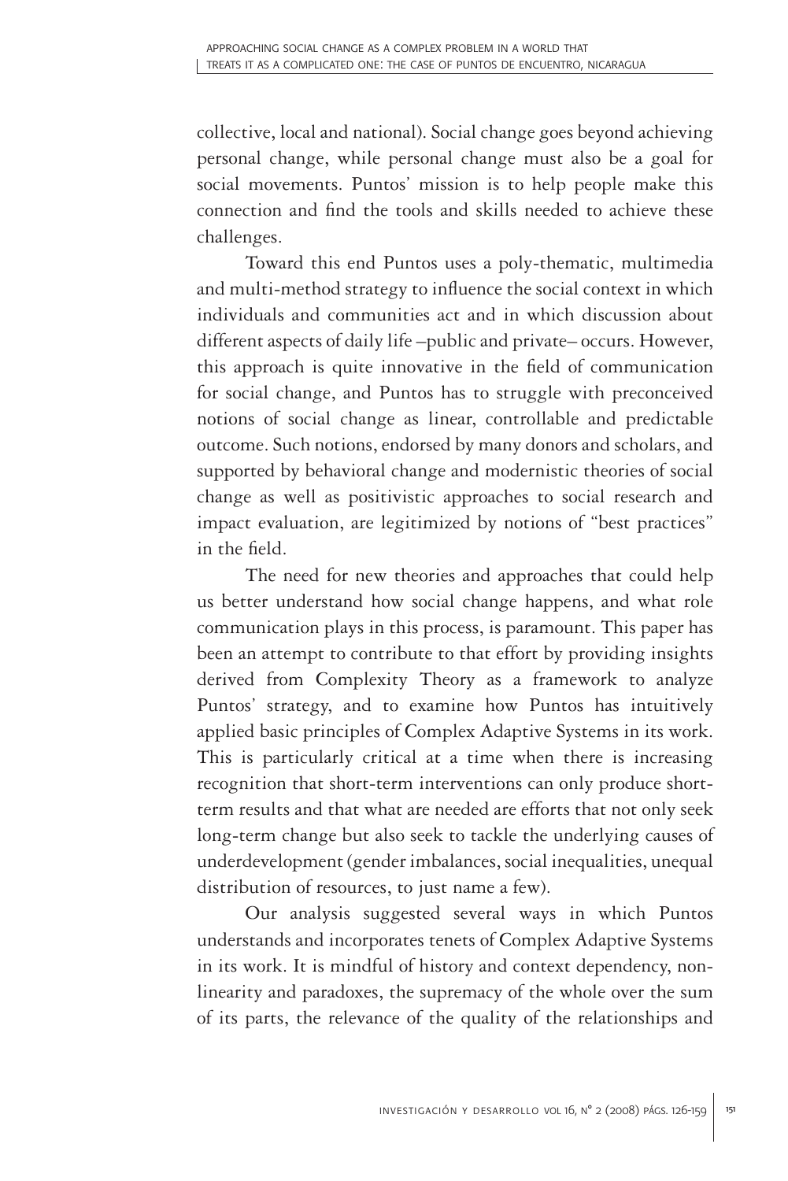collective, local and national). Social change goes beyond achieving personal change, while personal change must also be a goal for social movements. Puntos' mission is to help people make this connection and find the tools and skills needed to achieve these challenges.

Toward this end Puntos uses a poly-thematic, multimedia and multi-method strategy to influence the social context in which individuals and communities act and in which discussion about different aspects of daily life –public and private– occurs. However, this approach is quite innovative in the field of communication for social change, and Puntos has to struggle with preconceived notions of social change as linear, controllable and predictable outcome. Such notions, endorsed by many donors and scholars, and supported by behavioral change and modernistic theories of social change as well as positivistic approaches to social research and impact evaluation, are legitimized by notions of "best practices" in the field.

The need for new theories and approaches that could help us better understand how social change happens, and what role communication plays in this process, is paramount. This paper has been an attempt to contribute to that effort by providing insights derived from Complexity Theory as a framework to analyze Puntos' strategy, and to examine how Puntos has intuitively applied basic principles of Complex Adaptive Systems in its work. This is particularly critical at a time when there is increasing recognition that short-term interventions can only produce shortterm results and that what are needed are efforts that not only seek long-term change but also seek to tackle the underlying causes of underdevelopment (gender imbalances, social inequalities, unequal distribution of resources, to just name a few).

Our analysis suggested several ways in which Puntos understands and incorporates tenets of Complex Adaptive Systems in its work. It is mindful of history and context dependency, nonlinearity and paradoxes, the supremacy of the whole over the sum of its parts, the relevance of the quality of the relationships and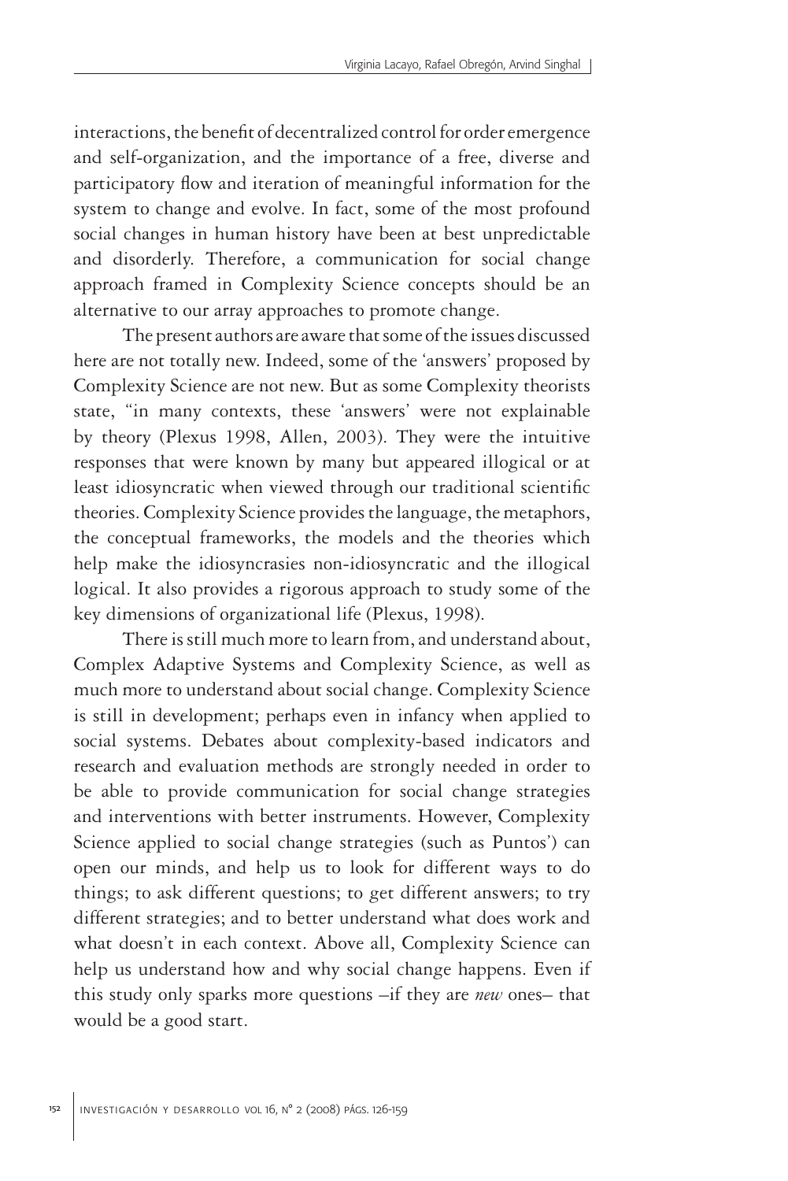interactions, the benefit of decentralized control for order emergence and self-organization, and the importance of a free, diverse and participatory flow and iteration of meaningful information for the system to change and evolve. In fact, some of the most profound social changes in human history have been at best unpredictable and disorderly. Therefore, a communication for social change approach framed in Complexity Science concepts should be an alternative to our array approaches to promote change.

The present authors are aware that some of the issues discussed here are not totally new. Indeed, some of the 'answers' proposed by Complexity Science are not new. But as some Complexity theorists state, "in many contexts, these 'answers' were not explainable by theory (Plexus 1998, Allen, 2003). They were the intuitive responses that were known by many but appeared illogical or at least idiosyncratic when viewed through our traditional scientific theories. Complexity Science provides the language, the metaphors, the conceptual frameworks, the models and the theories which help make the idiosyncrasies non-idiosyncratic and the illogical logical. It also provides a rigorous approach to study some of the key dimensions of organizational life (Plexus, 1998).

There is still much more to learn from, and understand about, Complex Adaptive Systems and Complexity Science, as well as much more to understand about social change. Complexity Science is still in development; perhaps even in infancy when applied to social systems. Debates about complexity-based indicators and research and evaluation methods are strongly needed in order to be able to provide communication for social change strategies and interventions with better instruments. However, Complexity Science applied to social change strategies (such as Puntos') can open our minds, and help us to look for different ways to do things; to ask different questions; to get different answers; to try different strategies; and to better understand what does work and what doesn't in each context. Above all, Complexity Science can help us understand how and why social change happens. Even if this study only sparks more questions –if they are *new* ones– that would be a good start.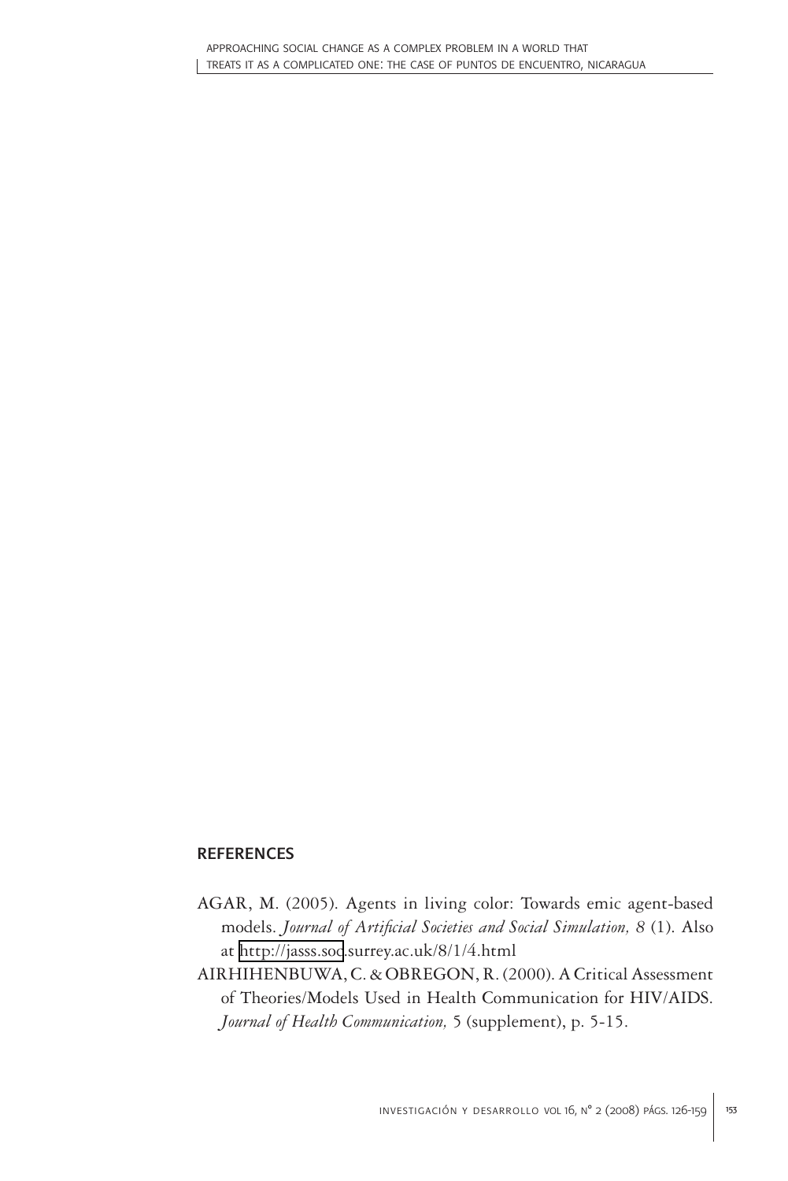#### **REFERENCES**

- AGAR, M. (2005). Agents in living color: Towards emic agent-based models. *Journal of Artificial Societies and Social Simulation, 8* (1). Also at [http://jasss.soc.](http://jasss.soc)surrey.ac.uk/8/1/4.html
- AIRHIHENBUWA, C. & OBREGON, R. (2000). A Critical Assessment of Theories/Models Used in Health Communication for HIV/AIDS. *Journal of Health Communication,* 5 (supplement), p. 5-15.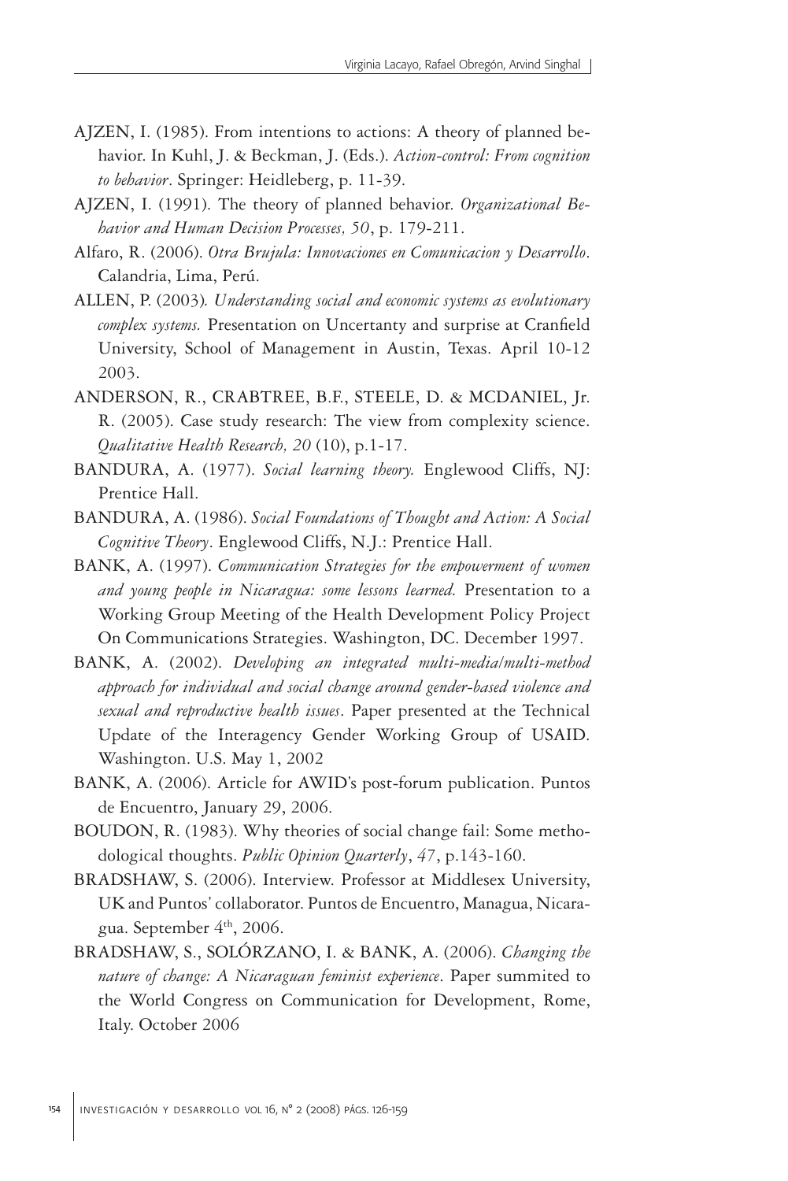- AJZEN, I. (1985). From intentions to actions: A theory of planned behavior. In Kuhl, J. & Beckman, J. (Eds.). *Action-control: From cognition to behavior*. Springer: Heidleberg, p. 11-39.
- AJZEN, I. (1991). The theory of planned behavior. *Organizational Behavior and Human Decision Processes, 50*, p. 179-211.
- Alfaro, R. (2006). *Otra Brujula: Innovaciones en Comunicacion y Desarrollo*. Calandria, Lima, Perú.
- ALLEN, P. (2003)*. Understanding social and economic systems as evolutionary complex systems.* Presentation on Uncertanty and surprise at Cranfield University, School of Management in Austin, Texas. April 10-12 2003.
- ANDERSON, R., CRABTREE, B.F., STEELE, D. & MCDANIEL, Jr. R. (2005). Case study research: The view from complexity science. *Qualitative Health Research, 20* (10), p.1-17.
- BANDURA, A. (1977). *Social learning theory.* Englewood Cliffs, NJ: Prentice Hall.
- BANDURA, A. (1986). *Social Foundations of Thought and Action: A Social Cognitive Theory*. Englewood Cliffs, N.J.: Prentice Hall.
- BANK, A. (1997). *Communication Strategies for the empowerment of women and young people in Nicaragua: some lessons learned.* Presentation to a Working Group Meeting of the Health Development Policy Project On Communications Strategies. Washington, DC. December 1997.
- BANK, A. (2002). *Developing an integrated multi-media/multi-method approach for individual and social change around gender-based violence and sexual and reproductive health issues*. Paper presented at the Technical Update of the Interagency Gender Working Group of USAID. Washington. U.S. May 1, 2002
- BANK, A. (2006). Article for AWID's post-forum publication. Puntos de Encuentro, January 29, 2006.
- BOUDON, R. (1983). Why theories of social change fail: Some methodological thoughts. *Public Opinion Quarterly*, *47*, p.143-160.
- BRADSHAW, S. (2006). Interview. Professor at Middlesex University, UK and Puntos' collaborator. Puntos de Encuentro, Managua, Nicaragua. September 4th, 2006.
- BRADSHAW, S., SOLÓRZANO, I. & BANK, A. (2006). *Changing the nature of change: A Nicaraguan feminist experience*. Paper summited to the World Congress on Communication for Development, Rome, Italy. October 2006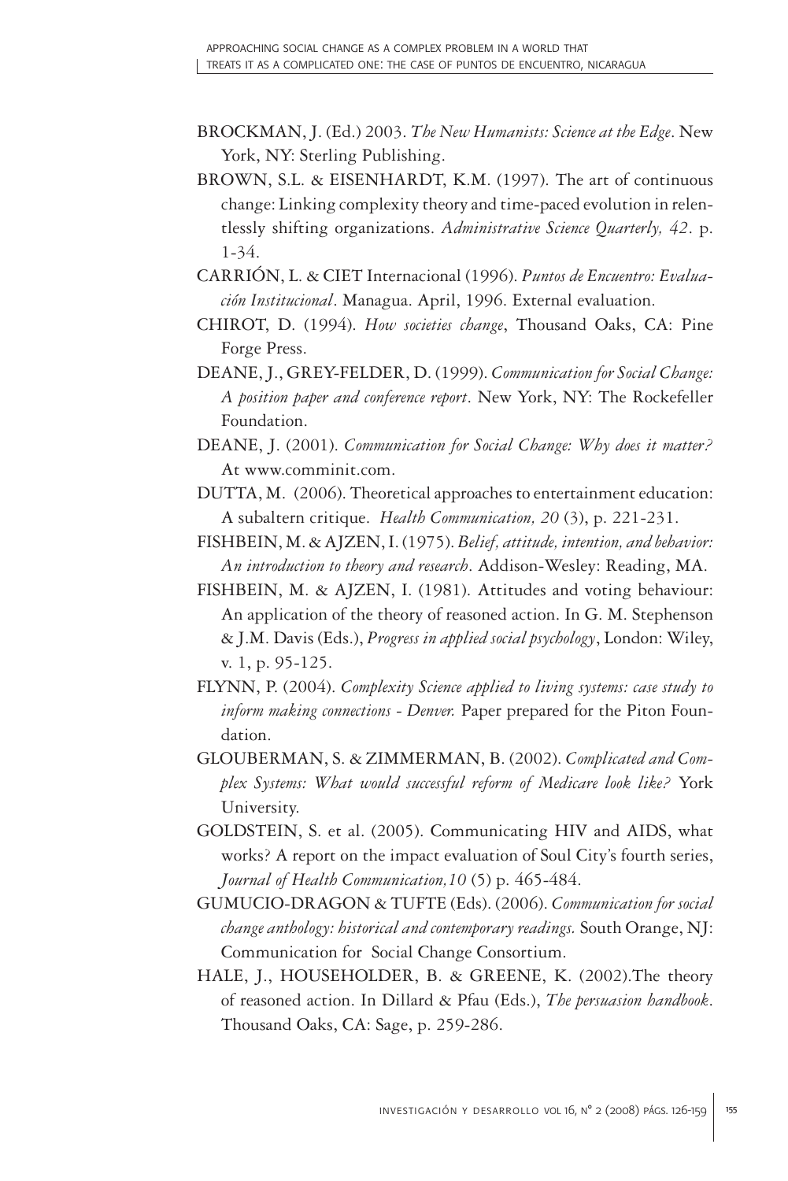- BROCKMAN, J. (Ed.) 2003. *The New Humanists: Science at the Edge*. New York, NY: Sterling Publishing.
- BROWN, S.L. & EISENHARDT, K.M. (1997). The art of continuous change: Linking complexity theory and time-paced evolution in relentlessly shifting organizations. *Administrative Science Quarterly, 42*. p. 1-34.
- CARRIÓN, L. & CIET Internacional (1996). *Puntos de Encuentro: Evaluación Institucional*. Managua. April, 1996. External evaluation.
- CHIROT, D. (1994). *How societies change*, Thousand Oaks, CA: Pine Forge Press.
- DEANE, J., GREY-FELDER, D. (1999). *Communication for Social Change: A position paper and conference report*. New York, NY: The Rockefeller Foundation.
- DEANE, J. (2001). *Communication for Social Change: Why does it matter?* At www.comminit.com.
- DUTTA, M. (2006). Theoretical approaches to entertainment education: A subaltern critique. *Health Communication, 20* (3), p. 221-231.
- FISHBEIN, M. & AJZEN, I. (1975). *Belief, attitude, intention, and behavior: An introduction to theory and research*. Addison-Wesley: Reading, MA.
- FISHBEIN, M. & AJZEN, I. (1981). Attitudes and voting behaviour: An application of the theory of reasoned action. In G. M. Stephenson & J.M. Davis (Eds.), *Progress in applied social psychology*, London: Wiley, v. 1, p. 95-125.
- FLYNN, P. (2004). *Complexity Science applied to living systems: case study to inform making connections - Denver.* Paper prepared for the Piton Foundation.
- GLOUBERMAN, S. & ZIMMERMAN, B. (2002). *Complicated and Complex Systems: What would successful reform of Medicare look like?* York University.
- GOLDSTEIN, S. et al. (2005). Communicating HIV and AIDS, what works? A report on the impact evaluation of Soul City's fourth series, *Journal of Health Communication,10* (5) p. 465-484.
- GUMUCIO-DRAGON & TUFTE (Eds). (2006). *Communication for social change anthology: historical and contemporary readings.* South Orange, NJ: Communication for Social Change Consortium.
- HALE, J., HOUSEHOLDER, B. & GREENE, K. (2002).The theory of reasoned action. In Dillard & Pfau (Eds.), *The persuasion handbook*. Thousand Oaks, CA: Sage, p. 259-286.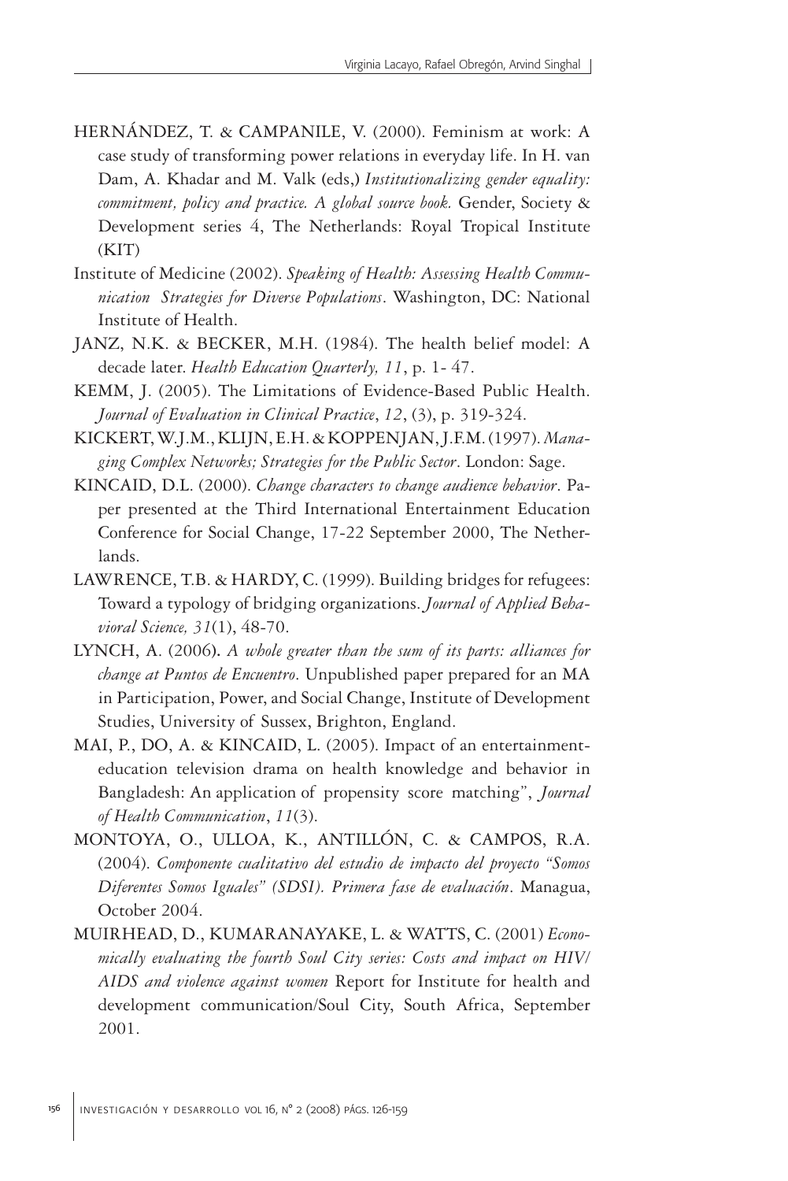- HERNÁNDEZ, T. & CAMPANILE, V. (2000). Feminism at work: A case study of transforming power relations in everyday life. In H. van Dam, A. Khadar and M. Valk **(**eds,**)** *Institutionalizing gender equality: commitment, policy and practice. A global source book.* Gender, Society & Development series 4, The Netherlands: Royal Tropical Institute (KIT)
- Institute of Medicine (2002). *Speaking of Health: Assessing Health Communication Strategies for Diverse Populations*. Washington, DC: National Institute of Health.
- JANZ, N.K. & BECKER, M.H. (1984). The health belief model: A decade later. *Health Education Quarterly, 11*, p. 1- 47.
- KEMM, J. (2005). The Limitations of Evidence-Based Public Health. *Journal of Evaluation in Clinical Practice*, *12*, (3), p. 319-324.
- KICKERT, W.J.M., KLIJN, E.H. & KOPPENJAN, J.F.M. (1997). *Managing Complex Networks; Strategies for the Public Sector*. London: Sage.
- KINCAID, D.L. (2000). *Change characters to change audience behavior*. Paper presented at the Third International Entertainment Education Conference for Social Change, 17-22 September 2000, The Netherlands.
- LAWRENCE, T.B. & HARDY, C. (1999). Building bridges for refugees: Toward a typology of bridging organizations. *Journal of Applied Behavioral Science, 31*(1), 48-70.
- LYNCH, A. (2006**).** *A whole greater than the sum of its parts: alliances for change at Puntos de Encuentro*. Unpublished paper prepared for an MA in Participation, Power, and Social Change, Institute of Development Studies, University of Sussex, Brighton, England.
- MAI, P., DO, A. & KINCAID, L. (2005). Impact of an entertainmenteducation television drama on health knowledge and behavior in Bangladesh: An application of propensity score matching", *Journal of Health Communication*, *11*(3).
- MONTOYA, O., ULLOA, K., ANTILLÓN, C. & CAMPOS, R.A. (2004). *Componente cualitativo del estudio de impacto del proyecto "Somos Diferentes Somos Iguales" (SDSI). Primera fase de evaluación*. Managua, October 2004.
- MUIRHEAD, D., KUMARANAYAKE, L. & WATTS, C. (2001) *Economically evaluating the fourth Soul City series: Costs and impact on HIV/ AIDS and violence against women* Report for Institute for health and development communication/Soul City, South Africa, September 2001.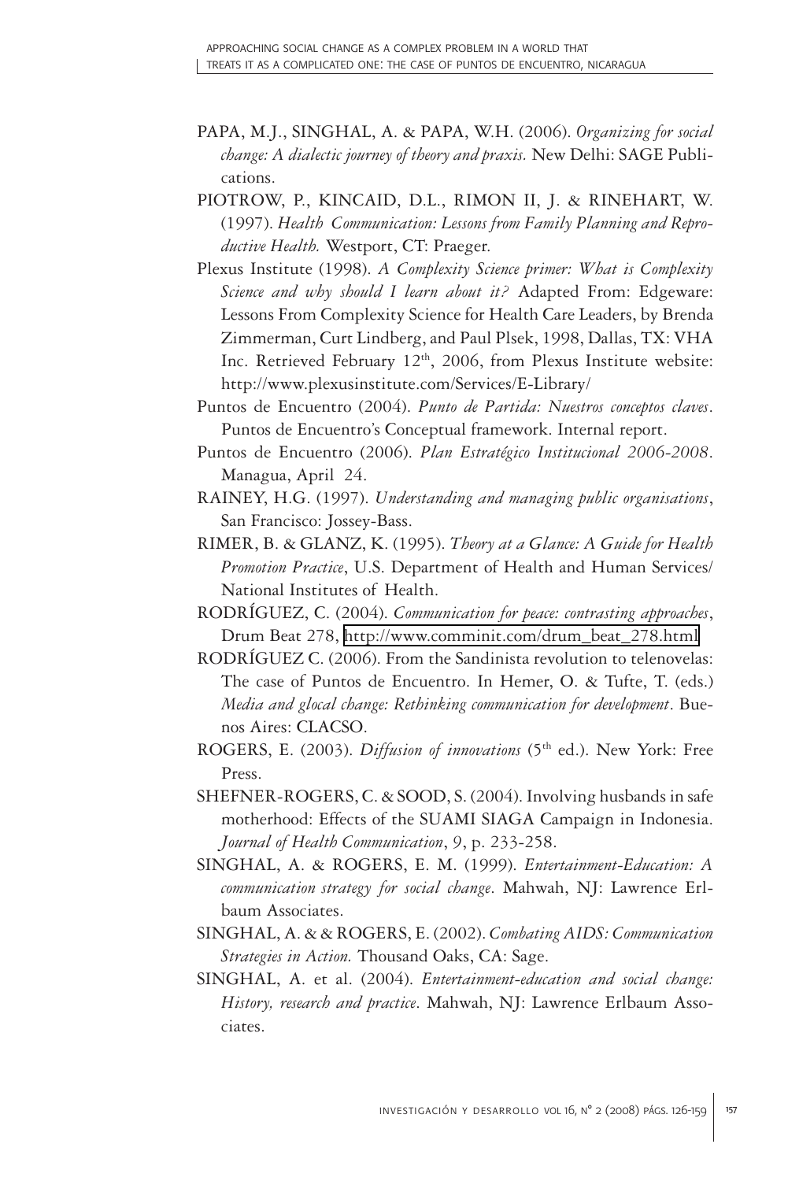- PAPA, M.J., SINGHAL, A. & PAPA, W.H. (2006). *Organizing for social change: A dialectic journey of theory and praxis.* New Delhi: SAGE Publications.
- PIOTROW, P., KINCAID, D.L., RIMON II, J. & RINEHART, W. (1997). *Health Communication: Lessons from Family Planning and Reproductive Health.* Westport, CT: Praeger.
- Plexus Institute (1998). *A Complexity Science primer: What is Complexity Science and why should I learn about it?* Adapted From: Edgeware: Lessons From Complexity Science for Health Care Leaders, by Brenda Zimmerman, Curt Lindberg, and Paul Plsek, 1998, Dallas, TX: VHA Inc. Retrieved February 12<sup>th</sup>, 2006, from Plexus Institute website: http://www.plexusinstitute.com/Services/E-Library/
- Puntos de Encuentro (2004). *Punto de Partida: Nuestros conceptos claves*. Puntos de Encuentro's Conceptual framework. Internal report.
- Puntos de Encuentro (2006). *Plan Estratégico Institucional 2006-2008*. Managua, April 24.
- RAINEY, H.G. (1997). *Understanding and managing public organisations*, San Francisco: Jossey-Bass.
- RIMER, B. & GLANZ, K. (1995). *Theory at a Glance: A Guide for Health Promotion Practice*, U.S. Department of Health and Human Services/ National Institutes of Health.
- RODRÍGUEZ, C. (2004). *Communication for peace: contrasting approaches*, Drum Beat 278, [http://www.comminit.com/drum\\_beat\\_278.html](http://www.comminit.com/drum_beat_278.html)
- RODRÍGUEZ C. (2006). From the Sandinista revolution to telenovelas: The case of Puntos de Encuentro. In Hemer, O. & Tufte, T. (eds.) *Media and glocal change: Rethinking communication for development*. Buenos Aires: CLACSO.
- ROGERS, E. (2003). *Diffusion of innovations* (5th ed.). New York: Free Press.
- SHEFNER-ROGERS, C. & SOOD, S. (2004). Involving husbands in safe motherhood: Effects of the SUAMI SIAGA Campaign in Indonesia. *Journal of Health Communication*, *9*, p. 233-258.
- SINGHAL, A. & ROGERS, E. M. (1999). *Entertainment-Education: A communication strategy for social change*. Mahwah, NJ: Lawrence Erlbaum Associates.
- SINGHAL, A. & & ROGERS, E. (2002). *Combating AIDS: Communication Strategies in Action.* Thousand Oaks, CA: Sage.
- SINGHAL, A. et al. (2004). *Entertainment-education and social change: History, research and practice*. Mahwah, NJ: Lawrence Erlbaum Associates.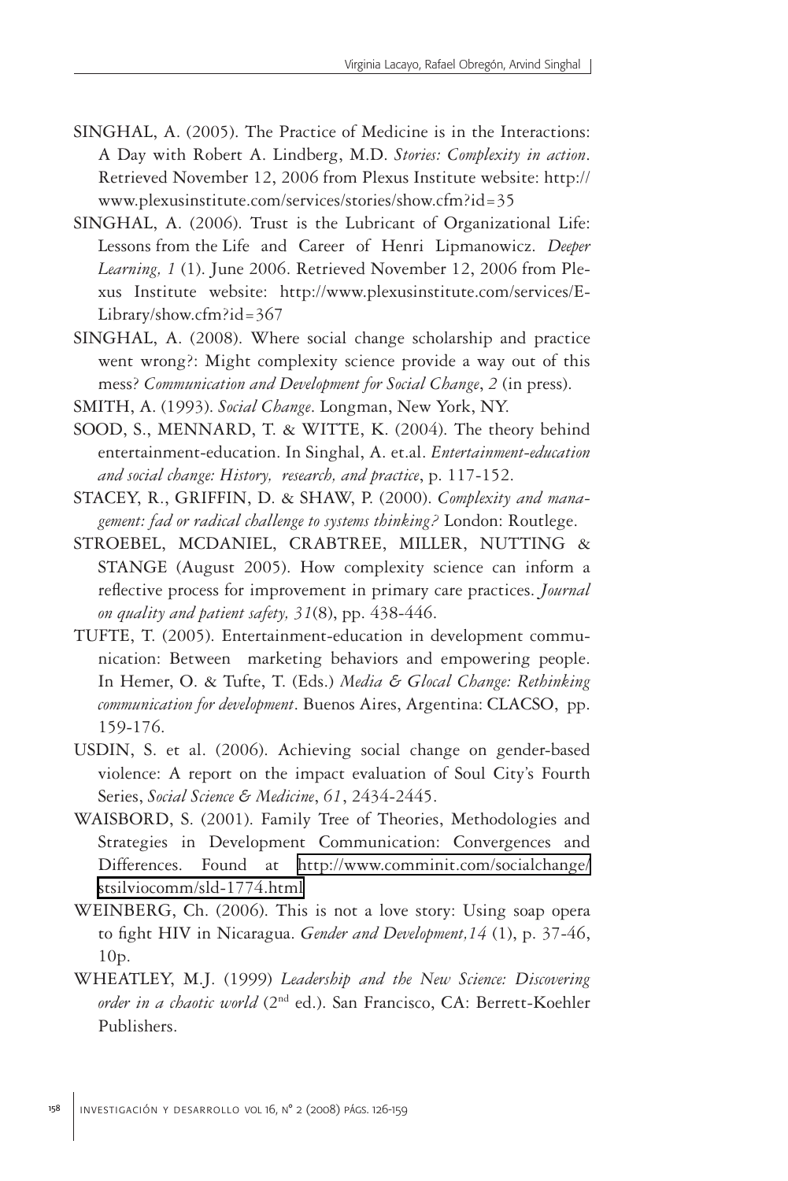- SINGHAL, A. (2005). The Practice of Medicine is in the Interactions: A Day with Robert A. Lindberg, M.D. *Stories: Complexity in action*. Retrieved November 12, 2006 from Plexus Institute website: http:// www.plexusinstitute.com/services/stories/show.cfm?id=35
- SINGHAL, A. (2006). Trust is the Lubricant of Organizational Life: Lessons from the Life and Career of Henri Lipmanowicz. *Deeper Learning, 1* (1). June 2006. Retrieved November 12, 2006 from Plexus Institute website: http://www.plexusinstitute.com/services/E-Library/show.cfm?id=367
- SINGHAL, A. (2008). Where social change scholarship and practice went wrong?: Might complexity science provide a way out of this mess? *Communication and Development for Social Change*, *2* (in press).
- SMITH, A. (1993). *Social Change*. Longman, New York, NY.
- SOOD, S., MENNARD, T. & WITTE, K. (2004). The theory behind entertainment-education. In Singhal, A. et.al. *Entertainment-education and social change: History, research, and practice*, p. 117-152.
- STACEY, R., GRIFFIN, D. & SHAW, P. (2000). *Complexity and management: fad or radical challenge to systems thinking?* London: Routlege.
- STROEBEL, MCDANIEL, CRABTREE, MILLER, NUTTING & STANGE (August 2005). How complexity science can inform a reflective process for improvement in primary care practices. *Journal on quality and patient safety, 31*(8), pp. 438-446.
- TUFTE, T. (2005). Entertainment-education in development communication: Between marketing behaviors and empowering people. In Hemer, O. & Tufte, T. (Eds.) *Media & Glocal Change: Rethinking communication for development*. Buenos Aires, Argentina: CLACSO, pp. 159-176.
- USDIN, S. et al. (2006). Achieving social change on gender-based violence: A report on the impact evaluation of Soul City's Fourth Series, *Social Science & Medicine*, *61*, 2434-2445.
- WAISBORD, S. (2001). Family Tree of Theories, Methodologies and Strategies in Development Communication: Convergences and Differences. Found at [http://www.comminit.com/socialchange/](http://www.comminit.com/socialchange/stsilviocomm/sld-1774.html) [stsilviocomm/sld-1774.html](http://www.comminit.com/socialchange/stsilviocomm/sld-1774.html)
- WEINBERG, Ch. (2006). This is not a love story: Using soap opera to fight HIV in Nicaragua. *Gender and Development,14* (1), p. 37-46, 10p.
- WHEATLEY, M.J. (1999) *Leadership and the New Science: Discovering order in a chaotic world* (2nd ed.). San Francisco, CA: Berrett-Koehler Publishers.